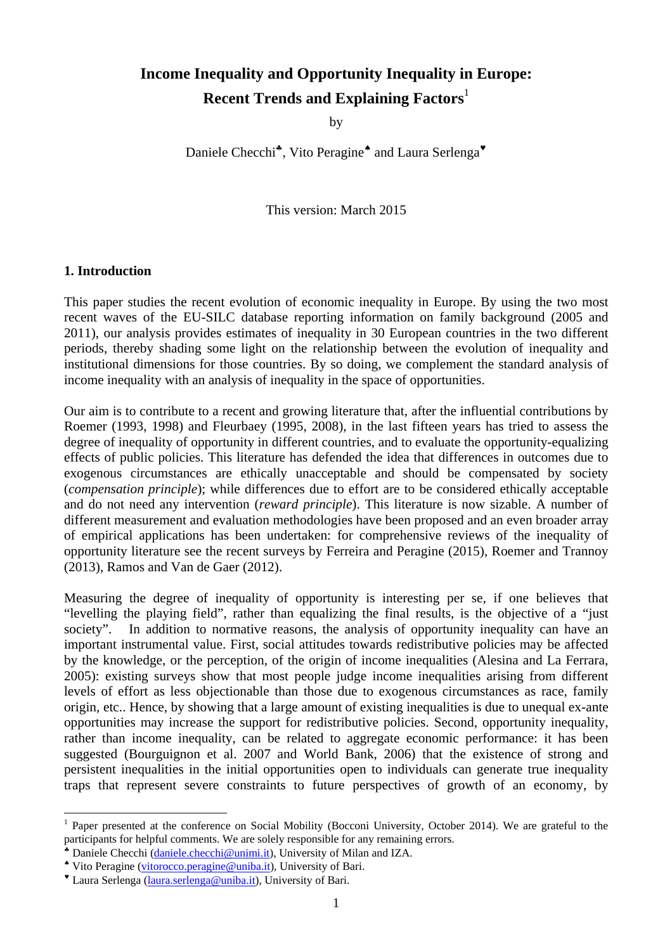# **Income Inequality and Opportunity Inequality in Europe: Recent Trends and Explaining Factors**<sup>1</sup>

by

Daniele Checchi<sup>\*</sup>, Vito Peragine<sup>\*</sup> and Laura Serlenga<sup>\*</sup>

This version: March 2015

### **1. Introduction**

 $\overline{a}$ 

This paper studies the recent evolution of economic inequality in Europe. By using the two most recent waves of the EU-SILC database reporting information on family background (2005 and 2011), our analysis provides estimates of inequality in 30 European countries in the two different periods, thereby shading some light on the relationship between the evolution of inequality and institutional dimensions for those countries. By so doing, we complement the standard analysis of income inequality with an analysis of inequality in the space of opportunities.

Our aim is to contribute to a recent and growing literature that, after the influential contributions by Roemer (1993, 1998) and Fleurbaey (1995, 2008), in the last fifteen years has tried to assess the degree of inequality of opportunity in different countries, and to evaluate the opportunity-equalizing effects of public policies. This literature has defended the idea that differences in outcomes due to exogenous circumstances are ethically unacceptable and should be compensated by society (*compensation principle*); while differences due to effort are to be considered ethically acceptable and do not need any intervention (*reward principle*). This literature is now sizable. A number of different measurement and evaluation methodologies have been proposed and an even broader array of empirical applications has been undertaken: for comprehensive reviews of the inequality of opportunity literature see the recent surveys by Ferreira and Peragine (2015), Roemer and Trannoy (2013), Ramos and Van de Gaer (2012).

Measuring the degree of inequality of opportunity is interesting per se, if one believes that "levelling the playing field", rather than equalizing the final results, is the objective of a "just society". In addition to normative reasons, the analysis of opportunity inequality can have an important instrumental value. First, social attitudes towards redistributive policies may be affected by the knowledge, or the perception, of the origin of income inequalities (Alesina and La Ferrara, 2005): existing surveys show that most people judge income inequalities arising from different levels of effort as less objectionable than those due to exogenous circumstances as race, family origin, etc.. Hence, by showing that a large amount of existing inequalities is due to unequal ex-ante opportunities may increase the support for redistributive policies. Second, opportunity inequality, rather than income inequality, can be related to aggregate economic performance: it has been suggested (Bourguignon et al. 2007 and World Bank, 2006) that the existence of strong and persistent inequalities in the initial opportunities open to individuals can generate true inequality traps that represent severe constraints to future perspectives of growth of an economy, by

<sup>1</sup> Paper presented at the conference on Social Mobility (Bocconi University, October 2014). We are grateful to the participants for helpful comments. We are solely responsible for any remaining errors.

Daniele Checchi (daniele.checchi@unimi.it), University of Milan and IZA.

<sup>♠</sup> Vito Peragine (vitorocco.peragine@uniba.it), University of Bari.

<sup>♥</sup> Laura Serlenga (laura.serlenga@uniba.it), University of Bari.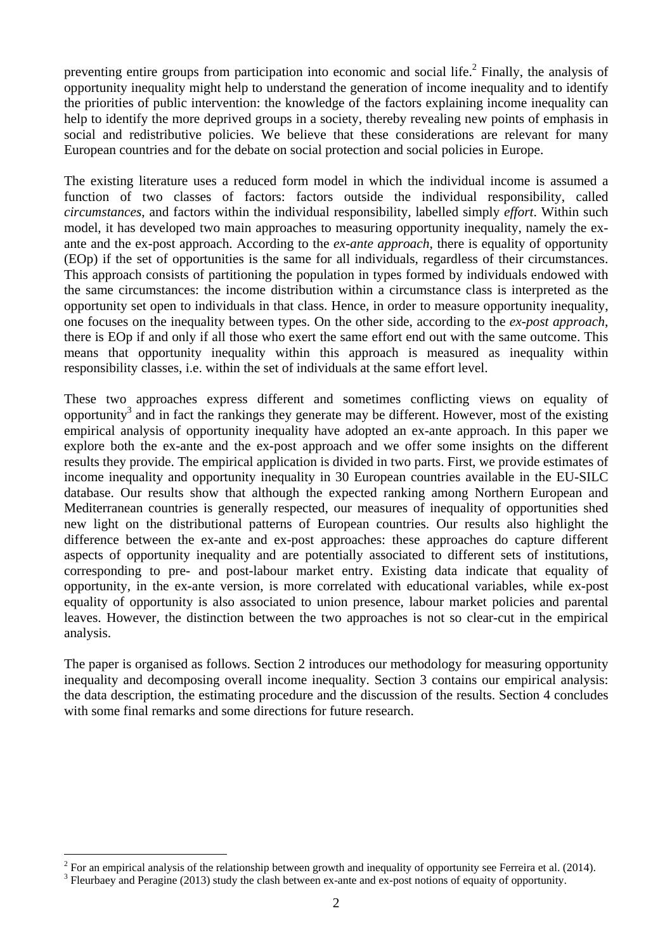preventing entire groups from participation into economic and social life.<sup>2</sup> Finally, the analysis of opportunity inequality might help to understand the generation of income inequality and to identify the priorities of public intervention: the knowledge of the factors explaining income inequality can help to identify the more deprived groups in a society, thereby revealing new points of emphasis in social and redistributive policies. We believe that these considerations are relevant for many European countries and for the debate on social protection and social policies in Europe.

The existing literature uses a reduced form model in which the individual income is assumed a function of two classes of factors: factors outside the individual responsibility, called *circumstances*, and factors within the individual responsibility, labelled simply *effort*. Within such model, it has developed two main approaches to measuring opportunity inequality, namely the exante and the ex-post approach. According to the *ex-ante approach*, there is equality of opportunity (EOp) if the set of opportunities is the same for all individuals, regardless of their circumstances. This approach consists of partitioning the population in types formed by individuals endowed with the same circumstances: the income distribution within a circumstance class is interpreted as the opportunity set open to individuals in that class. Hence, in order to measure opportunity inequality, one focuses on the inequality between types. On the other side, according to the *ex-post approach*, there is EOp if and only if all those who exert the same effort end out with the same outcome. This means that opportunity inequality within this approach is measured as inequality within responsibility classes, i.e. within the set of individuals at the same effort level.

These two approaches express different and sometimes conflicting views on equality of opportunity<sup>3</sup> and in fact the rankings they generate may be different. However, most of the existing empirical analysis of opportunity inequality have adopted an ex-ante approach. In this paper we explore both the ex-ante and the ex-post approach and we offer some insights on the different results they provide. The empirical application is divided in two parts. First, we provide estimates of income inequality and opportunity inequality in 30 European countries available in the EU-SILC database. Our results show that although the expected ranking among Northern European and Mediterranean countries is generally respected, our measures of inequality of opportunities shed new light on the distributional patterns of European countries. Our results also highlight the difference between the ex-ante and ex-post approaches: these approaches do capture different aspects of opportunity inequality and are potentially associated to different sets of institutions, corresponding to pre- and post-labour market entry. Existing data indicate that equality of opportunity, in the ex-ante version, is more correlated with educational variables, while ex-post equality of opportunity is also associated to union presence, labour market policies and parental leaves. However, the distinction between the two approaches is not so clear-cut in the empirical analysis.

The paper is organised as follows. Section 2 introduces our methodology for measuring opportunity inequality and decomposing overall income inequality. Section 3 contains our empirical analysis: the data description, the estimating procedure and the discussion of the results. Section 4 concludes with some final remarks and some directions for future research.

<sup>&</sup>lt;sup>2</sup> For an empirical analysis of the relationship between growth and inequality of opportunity see Ferreira et al. (2014).  $\frac{3}{2}$  Elevidence and Departunity of opportunity of opportunity.

<sup>&</sup>lt;sup>3</sup> Fleurbaey and Peragine (2013) study the clash between ex-ante and ex-post notions of equaity of opportunity.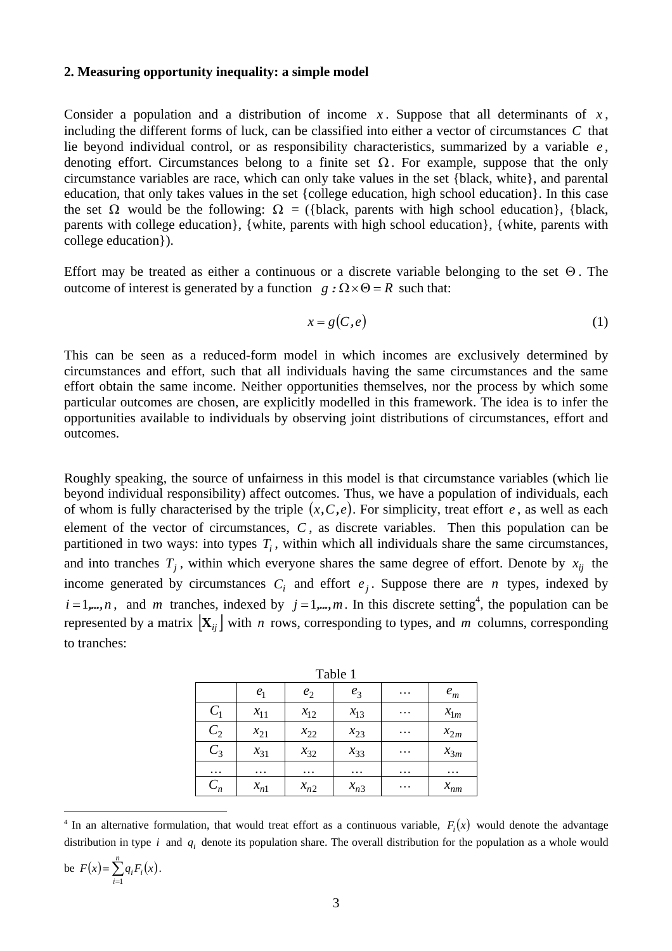#### **2. Measuring opportunity inequality: a simple model**

Consider a population and a distribution of income  $x$ . Suppose that all determinants of  $x$ , including the different forms of luck, can be classified into either a vector of circumstances *C* that lie beyond individual control, or as responsibility characteristics, summarized by a variable *e* , denoting effort. Circumstances belong to a finite set  $\Omega$ . For example, suppose that the only circumstance variables are race, which can only take values in the set {black, white}, and parental education, that only takes values in the set {college education, high school education}. In this case the set  $\Omega$  would be the following:  $\Omega = (\{\text{black}, \text{ parents with high school education}\}, \{\text{black}, \text{black}\})$ parents with college education}, {white, parents with high school education}, {white, parents with college education}).

Effort may be treated as either a continuous or a discrete variable belonging to the set  $\Theta$ . The outcome of interest is generated by a function  $g : \Omega \times \Theta = R$  such that:

$$
x = g(C, e) \tag{1}
$$

This can be seen as a reduced-form model in which incomes are exclusively determined by circumstances and effort, such that all individuals having the same circumstances and the same effort obtain the same income. Neither opportunities themselves, nor the process by which some particular outcomes are chosen, are explicitly modelled in this framework. The idea is to infer the opportunities available to individuals by observing joint distributions of circumstances, effort and outcomes.

Roughly speaking, the source of unfairness in this model is that circumstance variables (which lie beyond individual responsibility) affect outcomes. Thus, we have a population of individuals, each of whom is fully characterised by the triple  $(x, C, e)$ . For simplicity, treat effort  $e$ , as well as each element of the vector of circumstances, *C* , as discrete variables. Then this population can be partitioned in two ways: into types  $T_i$ , within which all individuals share the same circumstances, and into tranches  $T_i$ , within which everyone shares the same degree of effort. Denote by  $x_{ij}$  the income generated by circumstances  $C_i$  and effort  $e_i$ . Suppose there are *n* types, indexed by  $i = 1, \ldots, n$ , and *m* tranches, indexed by  $j = 1, \ldots, m$ . In this discrete setting<sup>4</sup>, the population can be represented by a matrix  $\mathbf{X}_{ii}$  with *n* rows, corresponding to types, and *m* columns, corresponding to tranches:

| Table 1  |          |          |          |          |          |  |  |  |  |  |
|----------|----------|----------|----------|----------|----------|--|--|--|--|--|
|          | $e_1$    | $e_2$    | $e_3$    | $\cdots$ | $e_m$    |  |  |  |  |  |
| $C_1$    | $x_{11}$ | $x_{12}$ | $x_{13}$ | .        | $x_{1m}$ |  |  |  |  |  |
| $C_2$    | $x_{21}$ | $x_{22}$ | $x_{23}$ | $\cdots$ | $x_{2m}$ |  |  |  |  |  |
| $C_3$    | $x_{31}$ | $x_{32}$ | $x_{33}$ | $\cdots$ | $x_{3m}$ |  |  |  |  |  |
| $\cdots$ | $\cdots$ | $\cdots$ | $\cdots$ | $\cdots$ | $\cdots$ |  |  |  |  |  |
| $C_n$    | $x_{n1}$ | $x_{n2}$ | $x_{n3}$ | $\cdots$ | $x_{nm}$ |  |  |  |  |  |

<sup>&</sup>lt;sup>4</sup> In an alternative formulation, that would treat effort as a continuous variable,  $F_i(x)$  would denote the advantage distribution in type *i* and *qi* denote its population share. The overall distribution for the population as a whole would

be 
$$
F(x) = \sum_{i=1}^{n} q_i F_i(x).
$$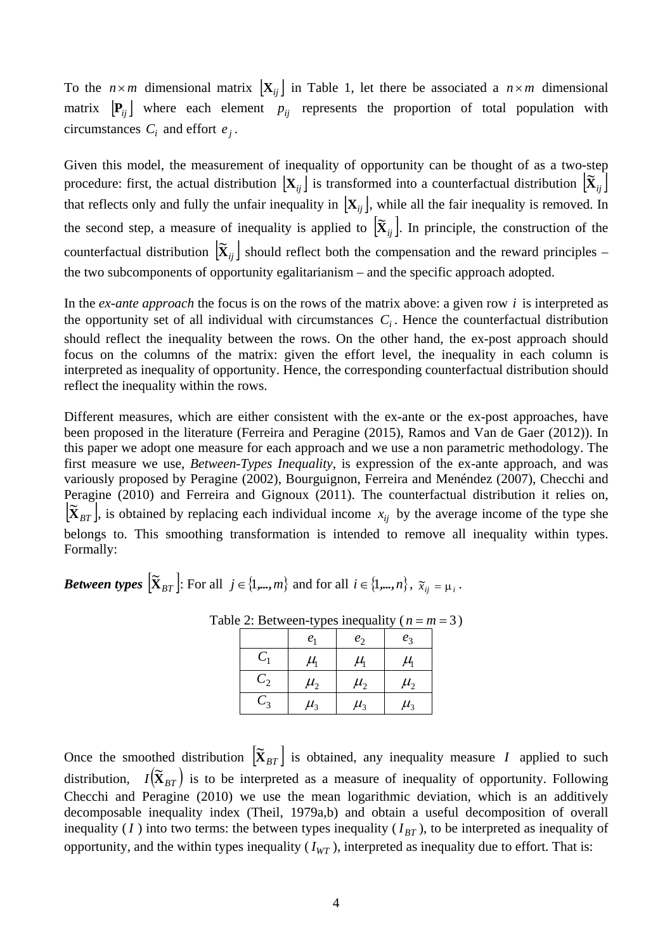To the  $n \times m$  dimensional matrix  $[X_{ij}]$  in Table 1, let there be associated a  $n \times m$  dimensional matrix  $\left[ \mathbf{P}_{ij} \right]$  where each element  $p_{ij}$  represents the proportion of total population with circumstances  $C_i$  and effort  $e_i$ .

Given this model, the measurement of inequality of opportunity can be thought of as a two-step procedure: first, the actual distribution  $\left[\mathbf{X}_{ij}\right]$  is transformed into a counterfactual distribution  $\left[\widetilde{\mathbf{X}}_{ij}\right]$ that reflects only and fully the unfair inequality in  $\left[ \mathbf{X}_{ij} \right]$ , while all the fair inequality is removed. In the second step, a measure of inequality is applied to  $\left[ \widetilde{\mathbf{X}}_{ij} \right]$ . In principle, the construction of the counterfactual distribution  $\left[ \widetilde{\mathbf{X}}_{ij} \right]$  should reflect both the compensation and the reward principles – the two subcomponents of opportunity egalitarianism – and the specific approach adopted.

In the *ex-ante approach* the focus is on the rows of the matrix above: a given row *i* is interpreted as the opportunity set of all individual with circumstances  $C_i$ . Hence the counterfactual distribution should reflect the inequality between the rows. On the other hand, the ex-post approach should focus on the columns of the matrix: given the effort level, the inequality in each column is interpreted as inequality of opportunity. Hence, the corresponding counterfactual distribution should reflect the inequality within the rows.

Different measures, which are either consistent with the ex-ante or the ex-post approaches, have been proposed in the literature (Ferreira and Peragine (2015), Ramos and Van de Gaer (2012)). In this paper we adopt one measure for each approach and we use a non parametric methodology. The first measure we use, *Between-Types Inequality*, is expression of the ex-ante approach, and was variously proposed by Peragine (2002), Bourguignon, Ferreira and Menéndez (2007), Checchi and Peragine (2010) and Ferreira and Gignoux (2011). The counterfactual distribution it relies on,  $\left[\widetilde{\mathbf{X}}_{BT}\right]$ , is obtained by replacing each individual income  $x_{ij}$  by the average income of the type she belongs to. This smoothing transformation is intended to remove all inequality within types. Formally:

| <b>Between types</b> $[\widetilde{\mathbf{X}}_{BT}]$ : For all $j \in \{1,,m\}$ and for all $i \in \{1,,n\}$ , $\widetilde{x}_{ij} = \mu_i$ . |  |  |  |  |  |  |
|-----------------------------------------------------------------------------------------------------------------------------------------------|--|--|--|--|--|--|
|-----------------------------------------------------------------------------------------------------------------------------------------------|--|--|--|--|--|--|

|  |         | Table 2: Between-types inequality ( $n = m = 3$ ) |  |
|--|---------|---------------------------------------------------|--|
|  | $e_{2}$ |                                                   |  |
|  |         |                                                   |  |
|  |         |                                                   |  |
|  |         |                                                   |  |

Once the smoothed distribution  $\left[ \widetilde{\mathbf{X}}_{BT} \right]$  is obtained, any inequality measure *I* applied to such  $distri$ *bution*,  $I(\tilde{\mathbf{X}}_{BT})$  is to be interpreted as a measure of inequality of opportunity. Following Checchi and Peragine (2010) we use the mean logarithmic deviation, which is an additively decomposable inequality index (Theil, 1979a,b) and obtain a useful decomposition of overall inequality ( $I$ ) into two terms: the between types inequality ( $I_{BT}$ ), to be interpreted as inequality of opportunity, and the within types inequality  $(I_{WT})$ , interpreted as inequality due to effort. That is: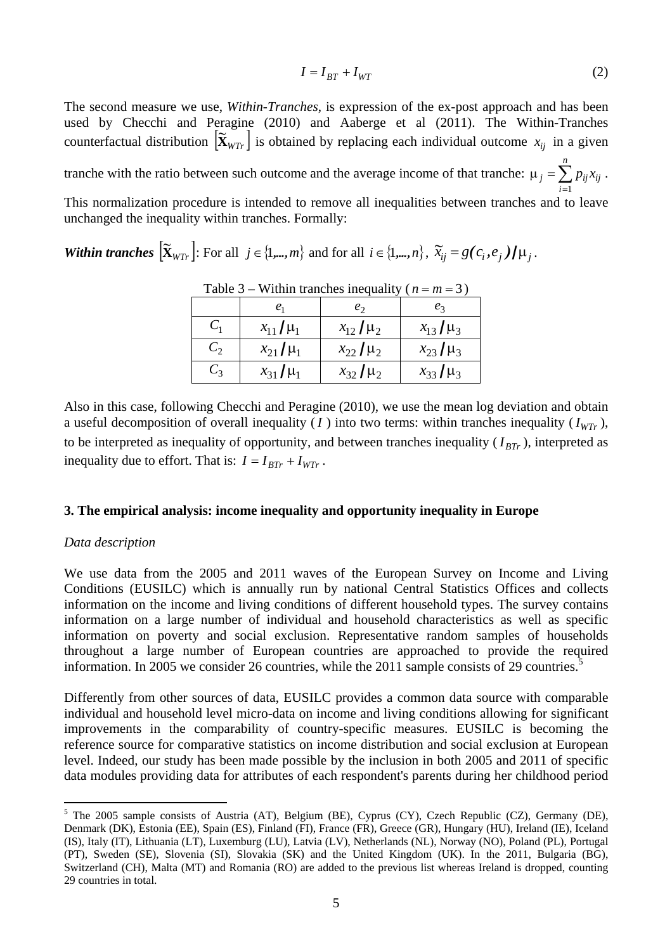$$
I = I_{BT} + I_{WT} \tag{2}
$$

The second measure we use, *Within-Tranches*, is expression of the ex-post approach and has been used by Checchi and Peragine (2010) and Aaberge et al (2011). The Within-Tranches counterfactual distribution  $\left[\tilde{\mathbf{X}}_{WTr}\right]$  is obtained by replacing each individual outcome  $x_{ij}$  in a given

tranche with the ratio between such outcome and the average income of that tranche:  $\mu_j = \sum$ =  $\mu_i =$ *n i*  $j = \sum p_{ij} x_{ij}$ . 1

This normalization procedure is intended to remove all inequalities between tranches and to leave unchanged the inequality within tranches. Formally:

| <b>Within tranches</b> $[\widetilde{\mathbf{X}}_{WTr}]$ : For all $j \in \{1,,m\}$ and for all $i \in \{1,,n\}$ , $\widetilde{x}_{ij} = g(c_i, e_j) / \mu_j$ . |  |  |  |  |  |  |  |  |  |
|----------------------------------------------------------------------------------------------------------------------------------------------------------------|--|--|--|--|--|--|--|--|--|
|----------------------------------------------------------------------------------------------------------------------------------------------------------------|--|--|--|--|--|--|--|--|--|

| e <sub>3</sub><br>e <sub>2</sub>                                |  |
|-----------------------------------------------------------------|--|
|                                                                 |  |
| $C_1$<br>$x_{11}/\mu_1$<br>$x_{12}/\mu_2$<br>$x_{13}/\mu_3$     |  |
| $C_2$<br>$x_{22}$ / $\mu_2$<br>$x_{21}/\mu_1$<br>$x_{23}/\mu_3$ |  |
| $C_3$<br>$x_{31}/\mu_1$<br>$x_{33}/\mu_3$<br>$x_{32}/\mu_2$     |  |

Table 3 – Within tranches inequality ( $n = m = 3$ )

Also in this case, following Checchi and Peragine (2010), we use the mean log deviation and obtain a useful decomposition of overall inequality ( $I$ ) into two terms: within tranches inequality ( $I_{WTr}$ ), to be interpreted as inequality of opportunity, and between tranches inequality  $(I_{BT})$ , interpreted as inequality due to effort. That is:  $I = I_{BTr} + I_{WTr}$ .

#### **3. The empirical analysis: income inequality and opportunity inequality in Europe**

#### *Data description*

We use data from the 2005 and 2011 waves of the European Survey on Income and Living Conditions (EUSILC) which is annually run by national Central Statistics Offices and collects information on the income and living conditions of different household types. The survey contains information on a large number of individual and household characteristics as well as specific information on poverty and social exclusion. Representative random samples of households throughout a large number of European countries are approached to provide the required information. In 2005 we consider 26 countries, while the 2011 sample consists of 29 countries.<sup>5</sup>

Differently from other sources of data, EUSILC provides a common data source with comparable individual and household level micro-data on income and living conditions allowing for significant improvements in the comparability of country-specific measures. EUSILC is becoming the reference source for comparative statistics on income distribution and social exclusion at European level. Indeed, our study has been made possible by the inclusion in both 2005 and 2011 of specific data modules providing data for attributes of each respondent's parents during her childhood period

<sup>&</sup>lt;sup>5</sup> The 2005 sample consists of Austria (AT), Belgium (BE), Cyprus (CY), Czech Republic (CZ), Germany (DE), Denmark (DK), Estonia (EE), Spain (ES), Finland (FI), France (FR), Greece (GR), Hungary (HU), Ireland (IE), Iceland (IS), Italy (IT), Lithuania (LT), Luxemburg (LU), Latvia (LV), Netherlands (NL), Norway (NO), Poland (PL), Portugal (PT), Sweden (SE), Slovenia (SI), Slovakia (SK) and the United Kingdom (UK). In the 2011, Bulgaria (BG), Switzerland (CH), Malta (MT) and Romania (RO) are added to the previous list whereas Ireland is dropped, counting 29 countries in total.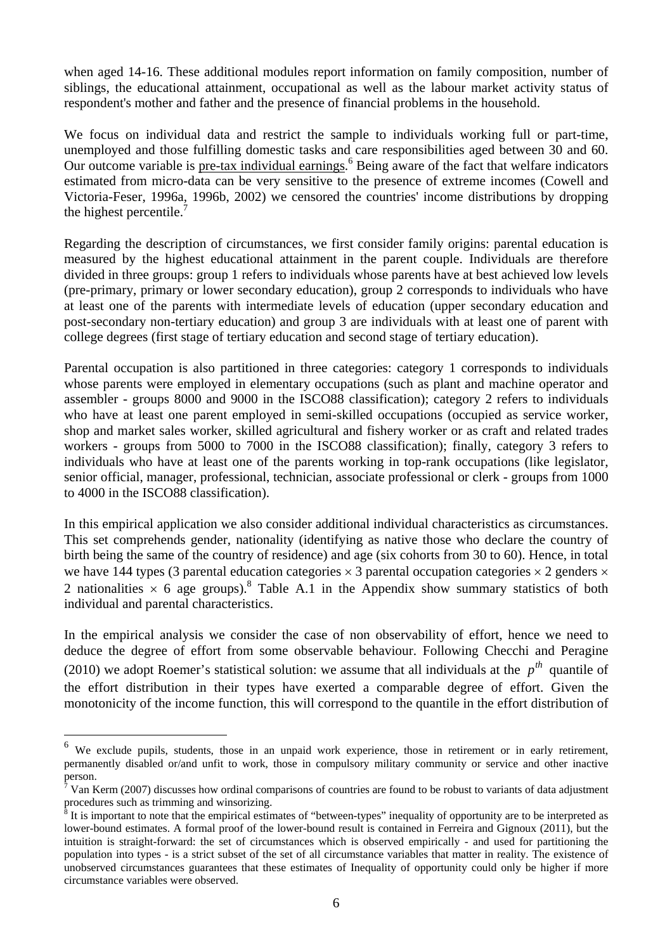when aged 14-16. These additional modules report information on family composition, number of siblings, the educational attainment, occupational as well as the labour market activity status of respondent's mother and father and the presence of financial problems in the household.

We focus on individual data and restrict the sample to individuals working full or part-time, unemployed and those fulfilling domestic tasks and care responsibilities aged between 30 and 60. Our outcome variable is pre-tax individual earnings.<sup>6</sup> Being aware of the fact that welfare indicators estimated from micro-data can be very sensitive to the presence of extreme incomes (Cowell and Victoria-Feser, 1996a, 1996b, 2002) we censored the countries' income distributions by dropping the highest percentile.<sup>7</sup>

Regarding the description of circumstances, we first consider family origins: parental education is measured by the highest educational attainment in the parent couple. Individuals are therefore divided in three groups: group 1 refers to individuals whose parents have at best achieved low levels (pre-primary, primary or lower secondary education), group 2 corresponds to individuals who have at least one of the parents with intermediate levels of education (upper secondary education and post-secondary non-tertiary education) and group 3 are individuals with at least one of parent with college degrees (first stage of tertiary education and second stage of tertiary education).

Parental occupation is also partitioned in three categories: category 1 corresponds to individuals whose parents were employed in elementary occupations (such as plant and machine operator and assembler - groups 8000 and 9000 in the ISCO88 classification); category 2 refers to individuals who have at least one parent employed in semi-skilled occupations (occupied as service worker, shop and market sales worker, skilled agricultural and fishery worker or as craft and related trades workers - groups from 5000 to 7000 in the ISCO88 classification); finally, category 3 refers to individuals who have at least one of the parents working in top-rank occupations (like legislator, senior official, manager, professional, technician, associate professional or clerk - groups from 1000 to 4000 in the ISCO88 classification).

In this empirical application we also consider additional individual characteristics as circumstances. This set comprehends gender, nationality (identifying as native those who declare the country of birth being the same of the country of residence) and age (six cohorts from 30 to 60). Hence, in total we have 144 types (3 parental education categories  $\times$  3 parental occupation categories  $\times$  2 genders  $\times$ 2 nationalities  $\times$  6 age groups).<sup>8</sup> Table A.1 in the Appendix show summary statistics of both individual and parental characteristics.

In the empirical analysis we consider the case of non observability of effort, hence we need to deduce the degree of effort from some observable behaviour. Following Checchi and Peragine (2010) we adopt Roemer's statistical solution: we assume that all individuals at the  $p^{th}$  quantile of the effort distribution in their types have exerted a comparable degree of effort. Given the monotonicity of the income function, this will correspond to the quantile in the effort distribution of

<sup>&</sup>lt;sup>6</sup> We exclude pupils, students, those in an unpaid work experience, those in retirement or in early retirement, permanently disabled or/and unfit to work, those in compulsory military community or service and other inactive person.

<sup>7</sup> Van Kerm (2007) discusses how ordinal comparisons of countries are found to be robust to variants of data adjustment procedures such as trimming and winsorizing.

<sup>8</sup> It is important to note that the empirical estimates of "between-types" inequality of opportunity are to be interpreted as lower-bound estimates. A formal proof of the lower-bound result is contained in Ferreira and Gignoux (2011), but the intuition is straight-forward: the set of circumstances which is observed empirically - and used for partitioning the population into types - is a strict subset of the set of all circumstance variables that matter in reality. The existence of unobserved circumstances guarantees that these estimates of Inequality of opportunity could only be higher if more circumstance variables were observed.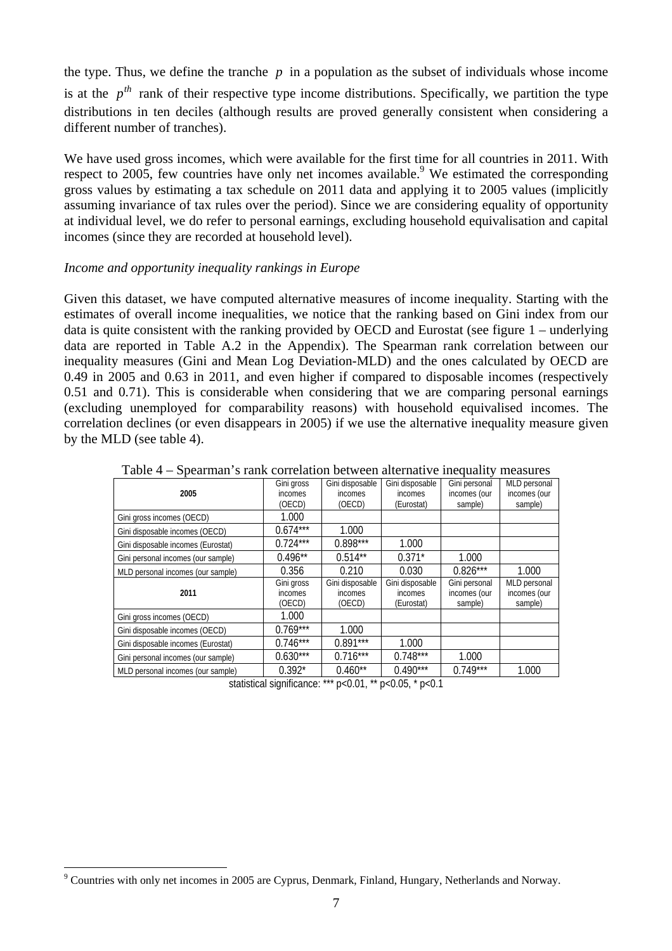the type. Thus, we define the tranche *p* in a population as the subset of individuals whose income is at the  $p^{th}$  rank of their respective type income distributions. Specifically, we partition the type distributions in ten deciles (although results are proved generally consistent when considering a different number of tranches).

We have used gross incomes, which were available for the first time for all countries in 2011. With respect to 2005, few countries have only net incomes available.<sup>9</sup> We estimated the corresponding gross values by estimating a tax schedule on 2011 data and applying it to 2005 values (implicitly assuming invariance of tax rules over the period). Since we are considering equality of opportunity at individual level, we do refer to personal earnings, excluding household equivalisation and capital incomes (since they are recorded at household level).

# *Income and opportunity inequality rankings in Europe*

Given this dataset, we have computed alternative measures of income inequality. Starting with the estimates of overall income inequalities, we notice that the ranking based on Gini index from our data is quite consistent with the ranking provided by OECD and Eurostat (see figure 1 – underlying data are reported in Table A.2 in the Appendix). The Spearman rank correlation between our inequality measures (Gini and Mean Log Deviation-MLD) and the ones calculated by OECD are 0.49 in 2005 and 0.63 in 2011, and even higher if compared to disposable incomes (respectively 0.51 and 0.71). This is considerable when considering that we are comparing personal earnings (excluding unemployed for comparability reasons) with household equivalised incomes. The correlation declines (or even disappears in 2005) if we use the alternative inequality measure given by the MLD (see table 4).

| 2005                               | Gini gross<br>incomes<br>(OECD) | Gini disposable<br>incomes<br>(OECD) | Gini disposable<br><i>incomes</i><br>(Eurostat) | Gini personal<br>incomes (our<br>sample) | MLD personal<br>incomes (our<br>sample) |
|------------------------------------|---------------------------------|--------------------------------------|-------------------------------------------------|------------------------------------------|-----------------------------------------|
| Gini gross incomes (OECD)          | 1.000                           |                                      |                                                 |                                          |                                         |
| Gini disposable incomes (OECD)     | $0.674***$                      | 1.000                                |                                                 |                                          |                                         |
| Gini disposable incomes (Eurostat) | $0.724***$                      | $0.898***$                           | 1.000                                           |                                          |                                         |
| Gini personal incomes (our sample) | $0.496**$                       | $0.514***$                           | $0.371*$                                        | 1.000                                    |                                         |
| MLD personal incomes (our sample)  | 0.356                           | 0.210                                | 0.030                                           | $0.826***$                               | 1.000                                   |
| 2011                               | Gini gross<br>incomes<br>(OECD) | Gini disposable<br>incomes<br>(OECD) | Gini disposable<br>incomes<br>(Eurostat)        | Gini personal<br>incomes (our<br>sample) | MLD personal<br>incomes (our<br>sample) |
| Gini gross incomes (OECD)          | 1.000                           |                                      |                                                 |                                          |                                         |
| Gini disposable incomes (OECD)     | $0.769***$                      | 1.000                                |                                                 |                                          |                                         |
| Gini disposable incomes (Eurostat) | $0.746***$                      | $0.891***$                           | 1.000                                           |                                          |                                         |
| Gini personal incomes (our sample) | $0.630***$                      | $0.716***$                           | $0.748***$                                      | 1.000                                    |                                         |
| MLD personal incomes (our sample)  | $0.392*$                        | $0.460**$                            | $0.490***$                                      | $0.749***$                               | 1.000                                   |

Table 4 – Spearman's rank correlation between alternative inequality measures

statistical significance: \*\*\* p<0.01, \*\* p<0.05, \* p<0.1

<sup>&</sup>lt;sup>9</sup> Countries with only net incomes in 2005 are Cyprus, Denmark, Finland, Hungary, Netherlands and Norway.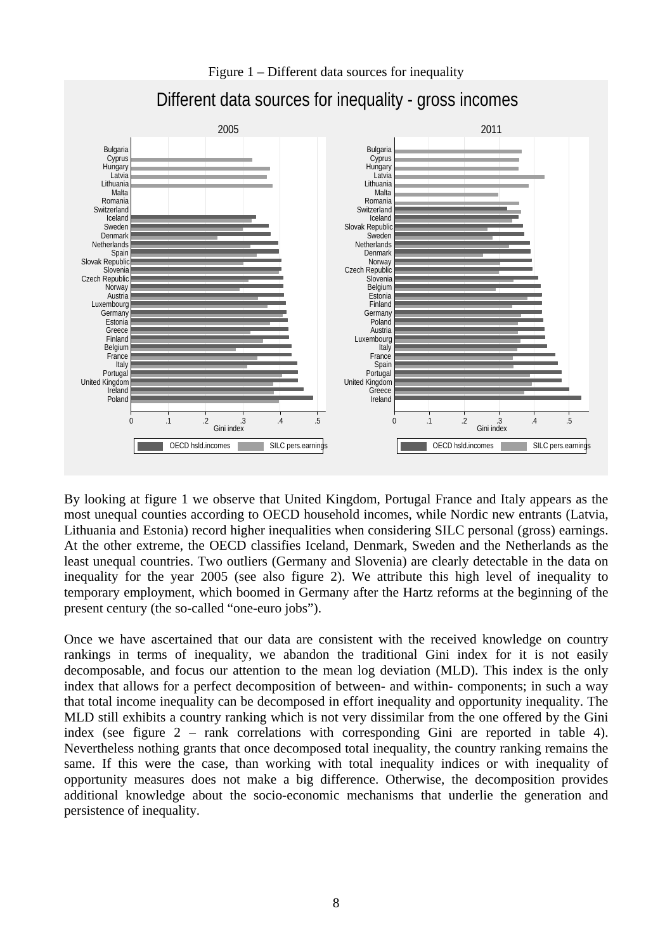

Different data sources for inequality - gross incomes

Figure  $1 -$  Different data sources for inequality

By looking at figure 1 we observe that United Kingdom, Portugal France and Italy appears as the most unequal counties according to OECD household incomes, while Nordic new entrants (Latvia, Lithuania and Estonia) record higher inequalities when considering SILC personal (gross) earnings. At the other extreme, the OECD classifies Iceland, Denmark, Sweden and the Netherlands as the least unequal countries. Two outliers (Germany and Slovenia) are clearly detectable in the data on inequality for the year 2005 (see also figure 2). We attribute this high level of inequality to temporary employment, which boomed in Germany after the Hartz reforms at the beginning of the present century (the so-called "one-euro jobs").

Once we have ascertained that our data are consistent with the received knowledge on country rankings in terms of inequality, we abandon the traditional Gini index for it is not easily decomposable, and focus our attention to the mean log deviation (MLD). This index is the only index that allows for a perfect decomposition of between- and within- components; in such a way that total income inequality can be decomposed in effort inequality and opportunity inequality. The MLD still exhibits a country ranking which is not very dissimilar from the one offered by the Gini index (see figure 2 – rank correlations with corresponding Gini are reported in table 4). Nevertheless nothing grants that once decomposed total inequality, the country ranking remains the same. If this were the case, than working with total inequality indices or with inequality of opportunity measures does not make a big difference. Otherwise, the decomposition provides additional knowledge about the socio-economic mechanisms that underlie the generation and persistence of inequality.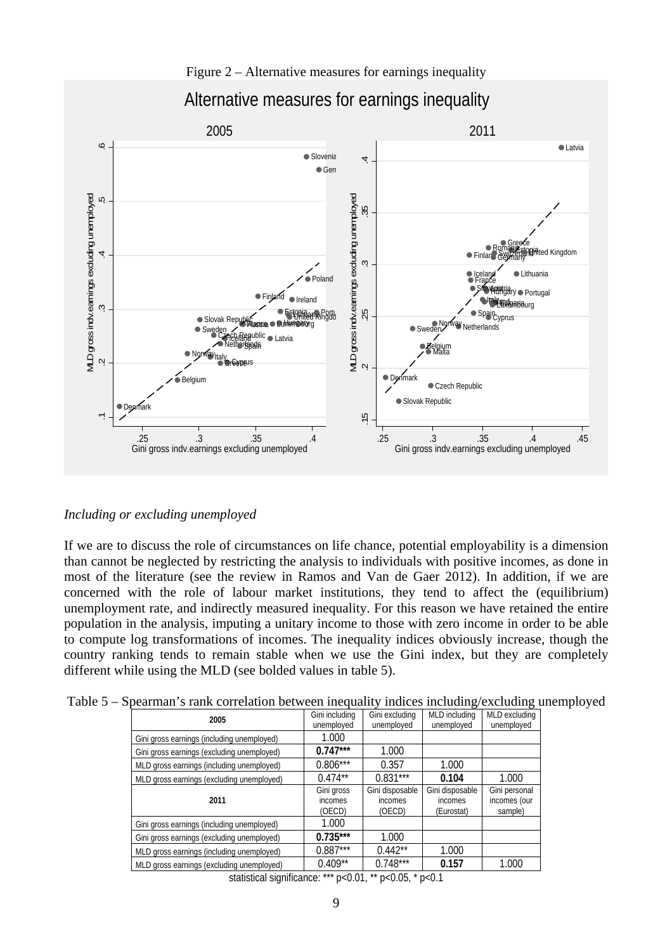

Figure  $2 -$  Alternative measures for earnings inequality

# *Including or excluding unemployed*

If we are to discuss the role of circumstances on life chance, potential employability is a dimension than cannot be neglected by restricting the analysis to individuals with positive incomes, as done in most of the literature (see the review in Ramos and Van de Gaer 2012). In addition, if we are concerned with the role of labour market institutions, they tend to affect the (equilibrium) unemployment rate, and indirectly measured inequality. For this reason we have retained the entire population in the analysis, imputing a unitary income to those with zero income in order to be able to compute log transformations of incomes. The inequality indices obviously increase, though the country ranking tends to remain stable when we use the Gini index, but they are completely different while using the MLD (see bolded values in table 5).

| 2005                                       | Gini including<br>unemployed    | Gini excluding<br>unemployed         | MLD including<br>unemployed              | MLD excluding<br>unemployed              |
|--------------------------------------------|---------------------------------|--------------------------------------|------------------------------------------|------------------------------------------|
| Gini gross earnings (including unemployed) | 1.000                           |                                      |                                          |                                          |
| Gini gross earnings (excluding unemployed) | $0.747***$                      | 1.000                                |                                          |                                          |
| MLD gross earnings (including unemployed)  | $0.806***$                      | 0.357                                | 1.000                                    |                                          |
| MLD gross earnings (excluding unemployed)  | $0.474**$                       | $0.831***$                           | 0.104                                    | 1.000                                    |
| 2011                                       | Gini gross<br>incomes<br>(OECD) | Gini disposable<br>incomes<br>(OECD) | Gini disposable<br>incomes<br>(Eurostat) | Gini personal<br>incomes (our<br>sample) |
| Gini gross earnings (including unemployed) | 1.000                           |                                      |                                          |                                          |
| Gini gross earnings (excluding unemployed) | $0.735***$                      | 1.000                                |                                          |                                          |
| MLD gross earnings (including unemployed)  | $0.887***$                      | $0.442**$                            | 1.000                                    |                                          |
| MLD gross earnings (excluding unemployed)  | $0.409**$                       | $0.748***$                           | 0.157                                    | 1.000                                    |

Table 5 – Spearman's rank correlation between inequality indices including/excluding unemployed

statistical significance: \*\*\* p<0.01, \*\* p<0.05, \* p<0.1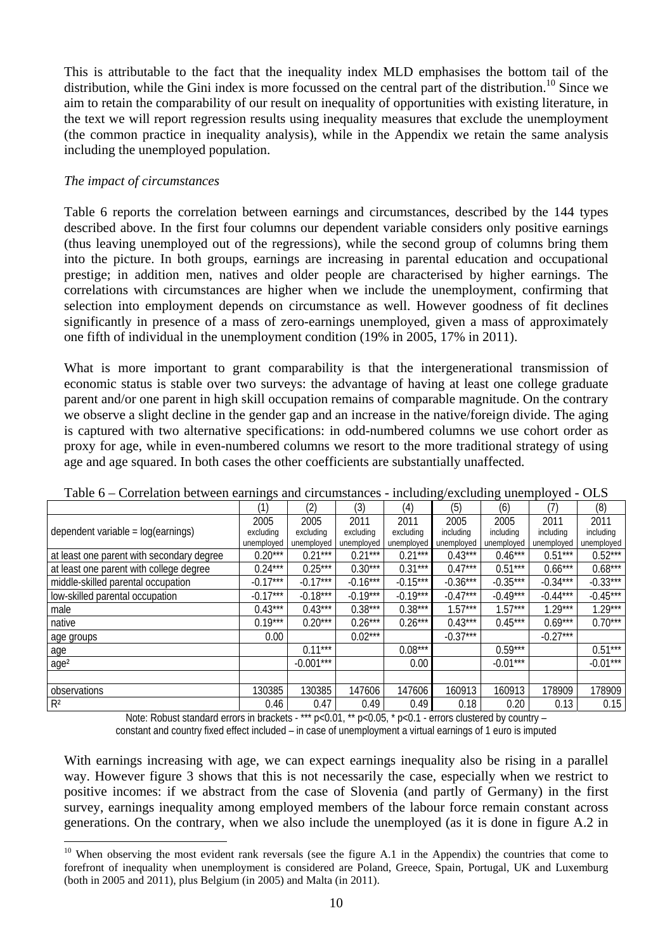This is attributable to the fact that the inequality index MLD emphasises the bottom tail of the distribution, while the Gini index is more focussed on the central part of the distribution.<sup>10</sup> Since we aim to retain the comparability of our result on inequality of opportunities with existing literature, in the text we will report regression results using inequality measures that exclude the unemployment (the common practice in inequality analysis), while in the Appendix we retain the same analysis including the unemployed population.

# *The impact of circumstances*

 $\overline{a}$ 

Table 6 reports the correlation between earnings and circumstances, described by the 144 types described above. In the first four columns our dependent variable considers only positive earnings (thus leaving unemployed out of the regressions), while the second group of columns bring them into the picture. In both groups, earnings are increasing in parental education and occupational prestige; in addition men, natives and older people are characterised by higher earnings. The correlations with circumstances are higher when we include the unemployment, confirming that selection into employment depends on circumstance as well. However goodness of fit declines significantly in presence of a mass of zero-earnings unemployed, given a mass of approximately one fifth of individual in the unemployment condition (19% in 2005, 17% in 2011).

What is more important to grant comparability is that the intergenerational transmission of economic status is stable over two surveys: the advantage of having at least one college graduate parent and/or one parent in high skill occupation remains of comparable magnitude. On the contrary we observe a slight decline in the gender gap and an increase in the native/foreign divide. The aging is captured with two alternative specifications: in odd-numbered columns we use cohort order as proxy for age, while in even-numbered columns we resort to the more traditional strategy of using age and age squared. In both cases the other coefficients are substantially unaffected.

|                                           |            | (2)         | (3)        | (4)        | (5)        | (6)        | $\left(7\right)$ | (8)        |
|-------------------------------------------|------------|-------------|------------|------------|------------|------------|------------------|------------|
|                                           | 2005       | 2005        | 2011       | 2011       | 2005       | 2005       | 2011             | 2011       |
| dependent variable = log(earnings)        | excluding  | excluding   | excluding  | excluding  | including  | including  | including        | including  |
|                                           | unemployed | unemployed  | unemployed | unemployed | unemployed | unemployed | unemployed       | unemployed |
| at least one parent with secondary degree | $0.20***$  | $0.21***$   | $0.21***$  | $0.21***$  | $0.43***$  | $0.46***$  | $0.51***$        | $0.52***$  |
| at least one parent with college degree   | $0.24***$  | $0.25***$   | $0.30***$  | $0.31***$  | $0.47***$  | $0.51***$  | $0.66***$        | $0.68***$  |
| middle-skilled parental occupation        | $-0.17***$ | $-0.17***$  | $-0.16***$ | $-0.15***$ | $-0.36***$ | $-0.35***$ | $-0.34***$       | $-0.33***$ |
| low-skilled parental occupation           | $-0.17***$ | $-0.18***$  | $-0.19***$ | $-0.19***$ | $-0.47***$ | $-0.49***$ | $-0.44***$       | $-0.45***$ |
| male                                      | $0.43***$  | $0.43***$   | $0.38***$  | $0.38***$  | $1.57***$  | $1.57***$  | $1.29***$        | $1.29***$  |
| native                                    | $0.19***$  | $0.20***$   | $0.26***$  | $0.26***$  | $0.43***$  | $0.45***$  | $0.69***$        | $0.70***$  |
| age groups                                | 0.00       |             | $0.02***$  |            | $-0.37***$ |            | $-0.27***$       |            |
| age                                       |            | $0.11***$   |            | $0.08***$  |            | $0.59***$  |                  | $0.51***$  |
| age <sup>2</sup>                          |            | $-0.001***$ |            | 0.00       |            | $-0.01***$ |                  | $-0.01***$ |
|                                           |            |             |            |            |            |            |                  |            |
| observations                              | 130385     | 130385      | 147606     | 147606     | 160913     | 160913     | 178909           | 178909     |
| R <sup>2</sup>                            | 0.46       | 0.47        | 0.49       | 0.49       | 0.18       | 0.20       | 0.13             | 0.15       |

Table 6 – Correlation between earnings and circumstances - including/excluding unemployed - OLS

Note: Robust standard errors in brackets - \*\*\* p<0.01, \*\* p<0.05, \* p<0.1 - errors clustered by country – constant and country fixed effect included – in case of unemployment a virtual earnings of 1 euro is imputed

With earnings increasing with age, we can expect earnings inequality also be rising in a parallel way. However figure 3 shows that this is not necessarily the case, especially when we restrict to positive incomes: if we abstract from the case of Slovenia (and partly of Germany) in the first survey, earnings inequality among employed members of the labour force remain constant across generations. On the contrary, when we also include the unemployed (as it is done in figure A.2 in

 $10$  When observing the most evident rank reversals (see the figure A.1 in the Appendix) the countries that come to forefront of inequality when unemployment is considered are Poland, Greece, Spain, Portugal, UK and Luxemburg (both in 2005 and 2011), plus Belgium (in 2005) and Malta (in 2011).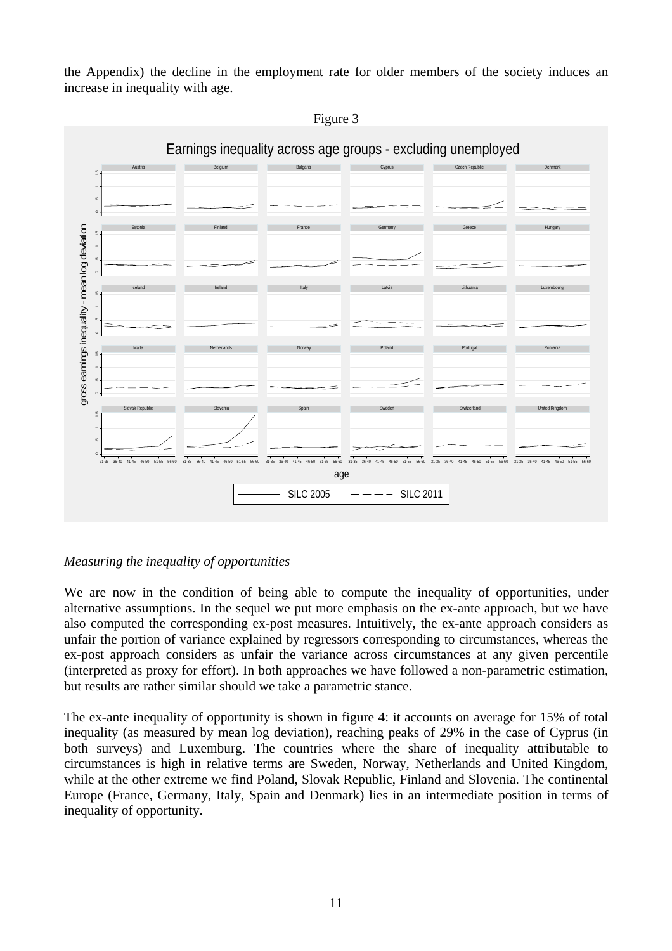the Appendix) the decline in the employment rate for older members of the society induces an increase in inequality with age.



#### Figure 3

# *Measuring the inequality of opportunities*

We are now in the condition of being able to compute the inequality of opportunities, under alternative assumptions. In the sequel we put more emphasis on the ex-ante approach, but we have also computed the corresponding ex-post measures. Intuitively, the ex-ante approach considers as unfair the portion of variance explained by regressors corresponding to circumstances, whereas the ex-post approach considers as unfair the variance across circumstances at any given percentile (interpreted as proxy for effort). In both approaches we have followed a non-parametric estimation, but results are rather similar should we take a parametric stance.

The ex-ante inequality of opportunity is shown in figure 4: it accounts on average for 15% of total inequality (as measured by mean log deviation), reaching peaks of 29% in the case of Cyprus (in both surveys) and Luxemburg. The countries where the share of inequality attributable to circumstances is high in relative terms are Sweden, Norway, Netherlands and United Kingdom, while at the other extreme we find Poland, Slovak Republic, Finland and Slovenia. The continental Europe (France, Germany, Italy, Spain and Denmark) lies in an intermediate position in terms of inequality of opportunity.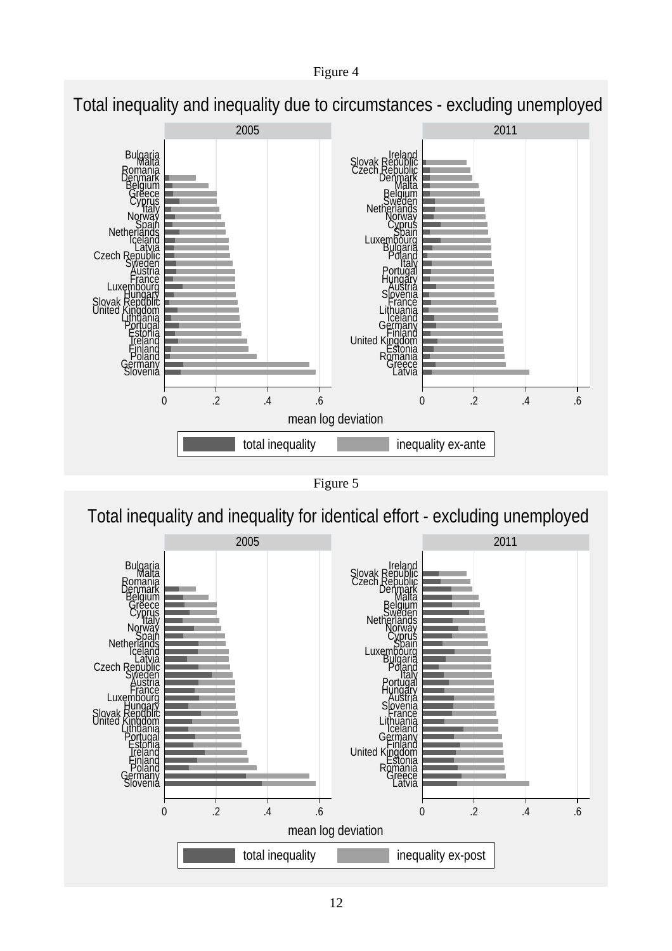# Figure 4

Total inequality and inequality due to circumstances - excluding unemployed



Figure 5

Total inequality and inequality for identical effort - excluding unemployed

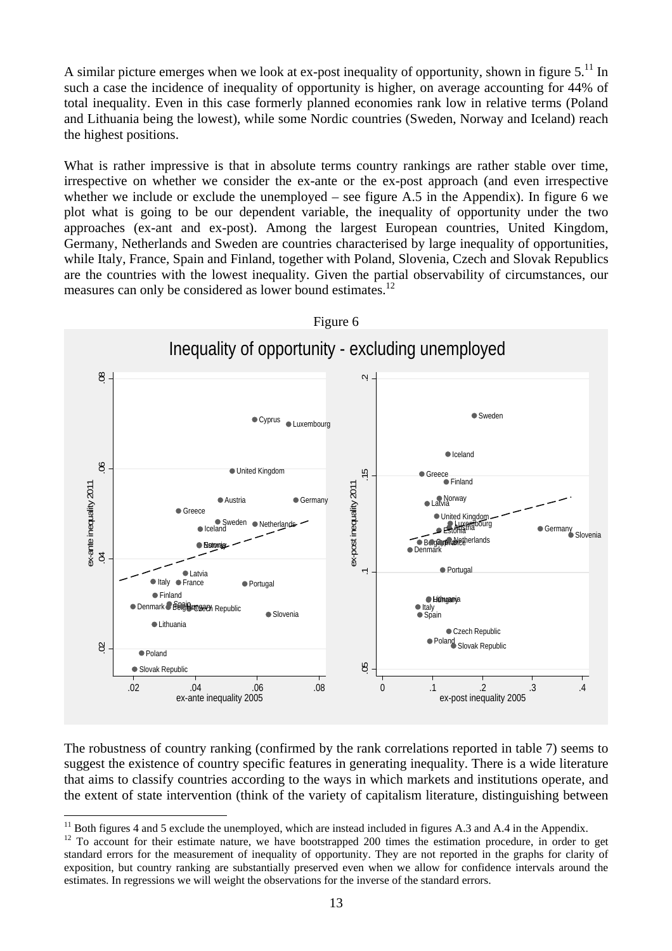A similar picture emerges when we look at ex-post inequality of opportunity, shown in figure  $5^{11}$ . In such a case the incidence of inequality of opportunity is higher, on average accounting for 44% of total inequality. Even in this case formerly planned economies rank low in relative terms (Poland and Lithuania being the lowest), while some Nordic countries (Sweden, Norway and Iceland) reach the highest positions.

What is rather impressive is that in absolute terms country rankings are rather stable over time, irrespective on whether we consider the ex-ante or the ex-post approach (and even irrespective whether we include or exclude the unemployed – see figure A.5 in the Appendix). In figure 6 we plot what is going to be our dependent variable, the inequality of opportunity under the two approaches (ex-ant and ex-post). Among the largest European countries, United Kingdom, Germany, Netherlands and Sweden are countries characterised by large inequality of opportunities, while Italy, France, Spain and Finland, together with Poland, Slovenia, Czech and Slovak Republics are the countries with the lowest inequality. Given the partial observability of circumstances, our measures can only be considered as lower bound estimates.<sup>12</sup>



The robustness of country ranking (confirmed by the rank correlations reported in table 7) seems to suggest the existence of country specific features in generating inequality. There is a wide literature that aims to classify countries according to the ways in which markets and institutions operate, and the extent of state intervention (think of the variety of capitalism literature, distinguishing between

 $11$  Both figures 4 and 5 exclude the unemployed, which are instead included in figures A.3 and A.4 in the Appendix.

<sup>&</sup>lt;sup>12</sup> To account for their estimate nature, we have bootstrapped 200 times the estimation procedure, in order to get standard errors for the measurement of inequality of opportunity. They are not reported in the graphs for clarity of exposition, but country ranking are substantially preserved even when we allow for confidence intervals around the estimates. In regressions we will weight the observations for the inverse of the standard errors.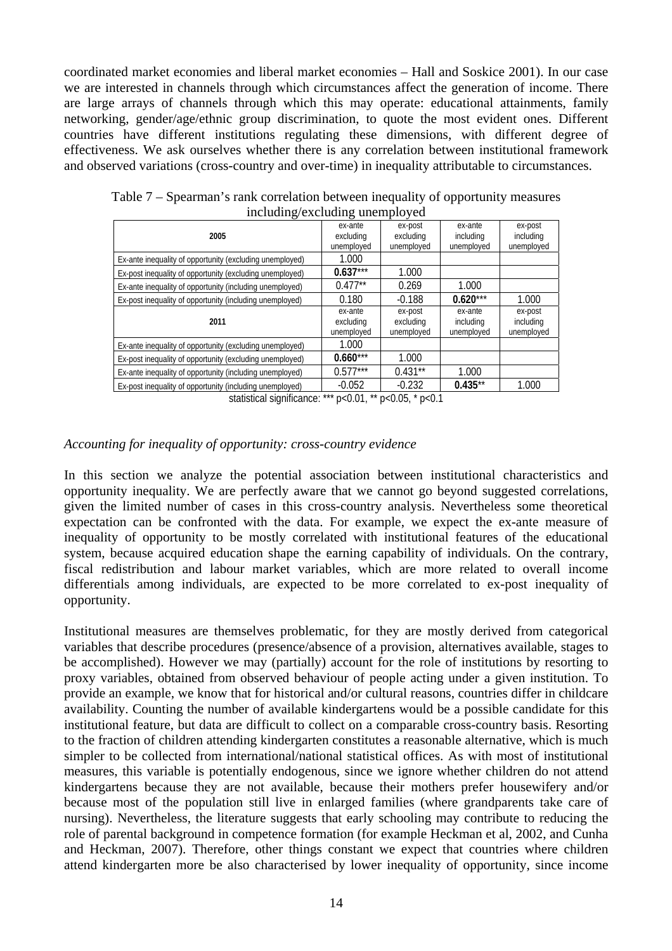coordinated market economies and liberal market economies – Hall and Soskice 2001). In our case we are interested in channels through which circumstances affect the generation of income. There are large arrays of channels through which this may operate: educational attainments, family networking, gender/age/ethnic group discrimination, to quote the most evident ones. Different countries have different institutions regulating these dimensions, with different degree of effectiveness. We ask ourselves whether there is any correlation between institutional framework and observed variations (cross-country and over-time) in inequality attributable to circumstances.

| 2005                                                     | ex-ante<br>excluding<br>unemployed | ex-post<br>excluding<br>unemployed | ex-ante<br>including<br>unemployed | ex-post<br>including<br>unemployed |
|----------------------------------------------------------|------------------------------------|------------------------------------|------------------------------------|------------------------------------|
| Ex-ante inequality of opportunity (excluding unemployed) | 1.000                              |                                    |                                    |                                    |
| Ex-post inequality of opportunity (excluding unemployed) | $0.637***$                         | 1.000                              |                                    |                                    |
| Ex-ante inequality of opportunity (including unemployed) | $0.477**$                          | 0.269                              | 1.000                              |                                    |
| Ex-post inequality of opportunity (including unemployed) | 0.180                              | $-0.188$                           | $0.620***$                         | 1.000                              |
| 2011                                                     | ex-ante<br>excluding<br>unemployed | ex-post<br>excluding<br>unemployed | ex-ante<br>including<br>unemployed | ex-post<br>including<br>unemployed |
| Ex-ante inequality of opportunity (excluding unemployed) | 1.000                              |                                    |                                    |                                    |
| Ex-post inequality of opportunity (excluding unemployed) | $0.660***$                         | 1.000                              |                                    |                                    |
| Ex-ante inequality of opportunity (including unemployed) | $0.577***$                         | $0.431**$                          | 1.000                              |                                    |
| Ex-post inequality of opportunity (including unemployed) | $-0.052$                           | $-0.232$                           | $0.435**$                          | 1.000                              |

Table 7 – Spearman's rank correlation between inequality of opportunity measures including/excluding unemployed

statistical significance: \*\*\* p<0.01, \*\* p<0.05, \* p<0.1

# *Accounting for inequality of opportunity: cross-country evidence*

In this section we analyze the potential association between institutional characteristics and opportunity inequality. We are perfectly aware that we cannot go beyond suggested correlations, given the limited number of cases in this cross-country analysis. Nevertheless some theoretical expectation can be confronted with the data. For example, we expect the ex-ante measure of inequality of opportunity to be mostly correlated with institutional features of the educational system, because acquired education shape the earning capability of individuals. On the contrary, fiscal redistribution and labour market variables, which are more related to overall income differentials among individuals, are expected to be more correlated to ex-post inequality of opportunity.

Institutional measures are themselves problematic, for they are mostly derived from categorical variables that describe procedures (presence/absence of a provision, alternatives available, stages to be accomplished). However we may (partially) account for the role of institutions by resorting to proxy variables, obtained from observed behaviour of people acting under a given institution. To provide an example, we know that for historical and/or cultural reasons, countries differ in childcare availability. Counting the number of available kindergartens would be a possible candidate for this institutional feature, but data are difficult to collect on a comparable cross-country basis. Resorting to the fraction of children attending kindergarten constitutes a reasonable alternative, which is much simpler to be collected from international/national statistical offices. As with most of institutional measures, this variable is potentially endogenous, since we ignore whether children do not attend kindergartens because they are not available, because their mothers prefer housewifery and/or because most of the population still live in enlarged families (where grandparents take care of nursing). Nevertheless, the literature suggests that early schooling may contribute to reducing the role of parental background in competence formation (for example Heckman et al, 2002, and Cunha and Heckman, 2007). Therefore, other things constant we expect that countries where children attend kindergarten more be also characterised by lower inequality of opportunity, since income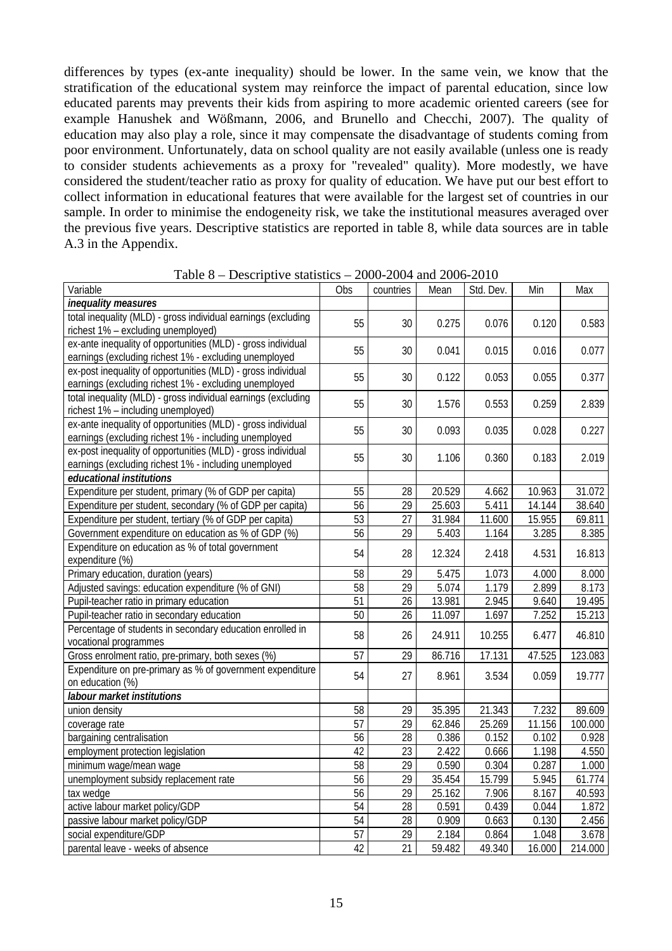differences by types (ex-ante inequality) should be lower. In the same vein, we know that the stratification of the educational system may reinforce the impact of parental education, since low educated parents may prevents their kids from aspiring to more academic oriented careers (see for example Hanushek and Wößmann, 2006, and Brunello and Checchi, 2007). The quality of education may also play a role, since it may compensate the disadvantage of students coming from poor environment. Unfortunately, data on school quality are not easily available (unless one is ready to consider students achievements as a proxy for "revealed" quality). More modestly, we have considered the student/teacher ratio as proxy for quality of education. We have put our best effort to collect information in educational features that were available for the largest set of countries in our sample. In order to minimise the endogeneity risk, we take the institutional measures averaged over the previous five years. Descriptive statistics are reported in table 8, while data sources are in table A.3 in the Appendix.

| Variable                                                      | Obs             | countries       | Mean   | Std. Dev. | Min    | Max     |
|---------------------------------------------------------------|-----------------|-----------------|--------|-----------|--------|---------|
| inequality measures                                           |                 |                 |        |           |        |         |
| total inequality (MLD) - gross individual earnings (excluding | 55              | 30              | 0.275  | 0.076     | 0.120  | 0.583   |
| richest 1% - excluding unemployed)                            |                 |                 |        |           |        |         |
| ex-ante inequality of opportunities (MLD) - gross individual  | 55              | 30              | 0.041  | 0.015     | 0.016  | 0.077   |
| earnings (excluding richest 1% - excluding unemployed         |                 |                 |        |           |        |         |
| ex-post inequality of opportunities (MLD) - gross individual  | 55              | 30              | 0.122  | 0.053     | 0.055  | 0.377   |
| earnings (excluding richest 1% - excluding unemployed         |                 |                 |        |           |        |         |
| total inequality (MLD) - gross individual earnings (excluding | 55              | 30              | 1.576  | 0.553     | 0.259  | 2.839   |
| richest 1% - including unemployed)                            |                 |                 |        |           |        |         |
| ex-ante inequality of opportunities (MLD) - gross individual  | 55              | 30              | 0.093  | 0.035     | 0.028  | 0.227   |
| earnings (excluding richest 1% - including unemployed         |                 |                 |        |           |        |         |
| ex-post inequality of opportunities (MLD) - gross individual  | 55              | 30              | 1.106  | 0.360     | 0.183  | 2.019   |
| earnings (excluding richest 1% - including unemployed         |                 |                 |        |           |        |         |
| educational institutions                                      |                 |                 |        |           |        |         |
| Expenditure per student, primary (% of GDP per capita)        | 55              | 28              | 20.529 | 4.662     | 10.963 | 31.072  |
| Expenditure per student, secondary (% of GDP per capita)      | 56              | 29              | 25.603 | 5.411     | 14.144 | 38.640  |
| Expenditure per student, tertiary (% of GDP per capita)       | 53              | $\overline{27}$ | 31.984 | 11.600    | 15.955 | 69.811  |
| Government expenditure on education as % of GDP (%)           | 56              | 29              | 5.403  | 1.164     | 3.285  | 8.385   |
| Expenditure on education as % of total government             | 54              | 28              | 12.324 | 2.418     | 4.531  | 16.813  |
| expenditure (%)                                               |                 |                 |        |           |        |         |
| Primary education, duration (years)                           | 58              | 29              | 5.475  | 1.073     | 4.000  | 8.000   |
| Adjusted savings: education expenditure (% of GNI)            | $\overline{58}$ | $\overline{29}$ | 5.074  | 1.179     | 2.899  | 8.173   |
| Pupil-teacher ratio in primary education                      | 51              | 26              | 13.981 | 2.945     | 9.640  | 19.495  |
| Pupil-teacher ratio in secondary education                    | 50              | 26              | 11.097 | 1.697     | 7.252  | 15.213  |
| Percentage of students in secondary education enrolled in     | 58              | 26              | 24.911 | 10.255    | 6.477  | 46.810  |
| vocational programmes                                         |                 |                 |        |           |        |         |
| Gross enrolment ratio, pre-primary, both sexes (%)            | $\overline{57}$ | 29              | 86.716 | 17.131    | 47.525 | 123.083 |
| Expenditure on pre-primary as % of government expenditure     | 54              | 27              | 8.961  | 3.534     | 0.059  | 19.777  |
| on education (%)                                              |                 |                 |        |           |        |         |
| labour market institutions                                    |                 |                 |        |           |        |         |
| union density                                                 | 58              | 29              | 35.395 | 21.343    | 7.232  | 89.609  |
| coverage rate                                                 | 57              | 29              | 62.846 | 25.269    | 11.156 | 100.000 |
| bargaining centralisation                                     | 56              | 28              | 0.386  | 0.152     | 0.102  | 0.928   |
| employment protection legislation                             | 42              | 23              | 2.422  | 0.666     | 1.198  | 4.550   |
| minimum wage/mean wage                                        | 58              | $\overline{29}$ | 0.590  | 0.304     | 0.287  | 1.000   |
| unemployment subsidy replacement rate                         | 56              | 29              | 35.454 | 15.799    | 5.945  | 61.774  |
| tax wedge                                                     | 56              | $\overline{29}$ | 25.162 | 7.906     | 8.167  | 40.593  |
| active labour market policy/GDP                               | 54              | 28              | 0.591  | 0.439     | 0.044  | 1.872   |
| passive labour market policy/GDP                              | 54              | 28              | 0.909  | 0.663     | 0.130  | 2.456   |
| social expenditure/GDP                                        | 57              | 29              | 2.184  | 0.864     | 1.048  | 3.678   |
| parental leave - weeks of absence                             | 42              | 21              | 59.482 | 49.340    | 16.000 | 214.000 |

Table 8 – Descriptive statistics – 2000-2004 and 2006-2010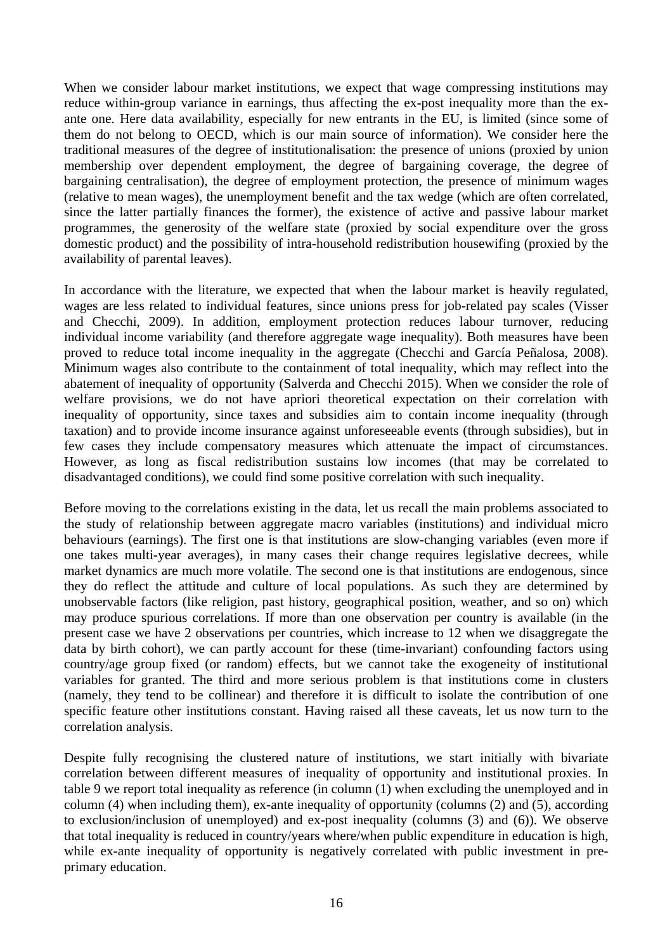When we consider labour market institutions, we expect that wage compressing institutions may reduce within-group variance in earnings, thus affecting the ex-post inequality more than the exante one. Here data availability, especially for new entrants in the EU, is limited (since some of them do not belong to OECD, which is our main source of information). We consider here the traditional measures of the degree of institutionalisation: the presence of unions (proxied by union membership over dependent employment, the degree of bargaining coverage, the degree of bargaining centralisation), the degree of employment protection, the presence of minimum wages (relative to mean wages), the unemployment benefit and the tax wedge (which are often correlated, since the latter partially finances the former), the existence of active and passive labour market programmes, the generosity of the welfare state (proxied by social expenditure over the gross domestic product) and the possibility of intra-household redistribution housewifing (proxied by the availability of parental leaves).

In accordance with the literature, we expected that when the labour market is heavily regulated, wages are less related to individual features, since unions press for job-related pay scales (Visser and Checchi, 2009). In addition, employment protection reduces labour turnover, reducing individual income variability (and therefore aggregate wage inequality). Both measures have been proved to reduce total income inequality in the aggregate (Checchi and García Peñalosa, 2008). Minimum wages also contribute to the containment of total inequality, which may reflect into the abatement of inequality of opportunity (Salverda and Checchi 2015). When we consider the role of welfare provisions, we do not have apriori theoretical expectation on their correlation with inequality of opportunity, since taxes and subsidies aim to contain income inequality (through taxation) and to provide income insurance against unforeseeable events (through subsidies), but in few cases they include compensatory measures which attenuate the impact of circumstances. However, as long as fiscal redistribution sustains low incomes (that may be correlated to disadvantaged conditions), we could find some positive correlation with such inequality.

Before moving to the correlations existing in the data, let us recall the main problems associated to the study of relationship between aggregate macro variables (institutions) and individual micro behaviours (earnings). The first one is that institutions are slow-changing variables (even more if one takes multi-year averages), in many cases their change requires legislative decrees, while market dynamics are much more volatile. The second one is that institutions are endogenous, since they do reflect the attitude and culture of local populations. As such they are determined by unobservable factors (like religion, past history, geographical position, weather, and so on) which may produce spurious correlations. If more than one observation per country is available (in the present case we have 2 observations per countries, which increase to 12 when we disaggregate the data by birth cohort), we can partly account for these (time-invariant) confounding factors using country/age group fixed (or random) effects, but we cannot take the exogeneity of institutional variables for granted. The third and more serious problem is that institutions come in clusters (namely, they tend to be collinear) and therefore it is difficult to isolate the contribution of one specific feature other institutions constant. Having raised all these caveats, let us now turn to the correlation analysis.

Despite fully recognising the clustered nature of institutions, we start initially with bivariate correlation between different measures of inequality of opportunity and institutional proxies. In table 9 we report total inequality as reference (in column (1) when excluding the unemployed and in column (4) when including them), ex-ante inequality of opportunity (columns (2) and (5), according to exclusion/inclusion of unemployed) and ex-post inequality (columns (3) and (6)). We observe that total inequality is reduced in country/years where/when public expenditure in education is high, while ex-ante inequality of opportunity is negatively correlated with public investment in preprimary education.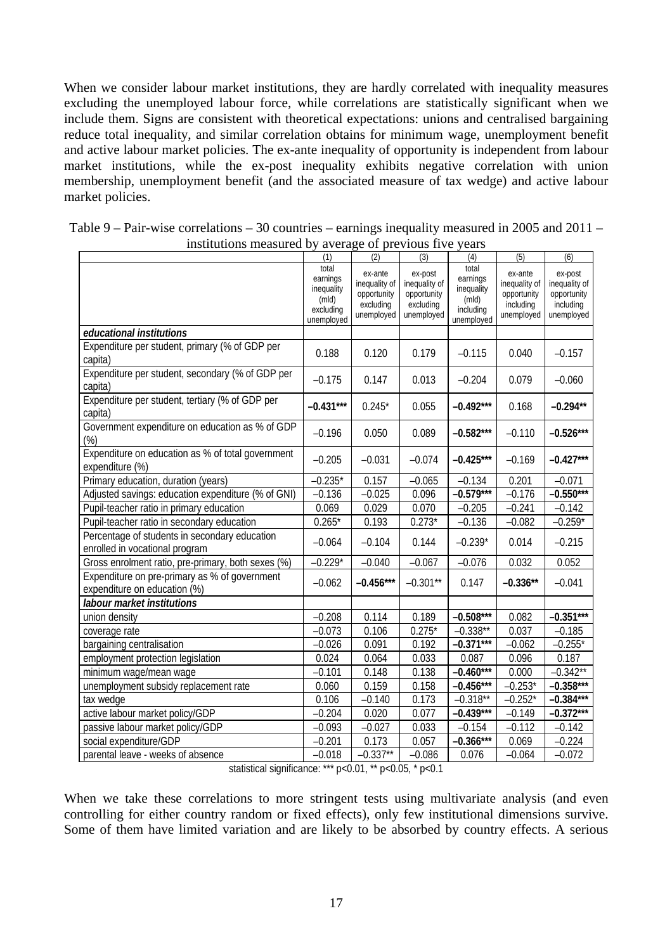When we consider labour market institutions, they are hardly correlated with inequality measures excluding the unemployed labour force, while correlations are statistically significant when we include them. Signs are consistent with theoretical expectations: unions and centralised bargaining reduce total inequality, and similar correlation obtains for minimum wage, unemployment benefit and active labour market policies. The ex-ante inequality of opportunity is independent from labour market institutions, while the ex-post inequality exhibits negative correlation with union membership, unemployment benefit (and the associated measure of tax wedge) and active labour market policies.

|                                                                                 | (1)                                                                 | (2)                                                                | (3)                                                                | (4)                                                                 | (5)                                                                | (6)                                                                |
|---------------------------------------------------------------------------------|---------------------------------------------------------------------|--------------------------------------------------------------------|--------------------------------------------------------------------|---------------------------------------------------------------------|--------------------------------------------------------------------|--------------------------------------------------------------------|
|                                                                                 | total<br>earnings<br>inequality<br>(mld)<br>excluding<br>unemployed | ex-ante<br>inequality of<br>opportunity<br>excluding<br>unemployed | ex-post<br>inequality of<br>opportunity<br>excluding<br>unemployed | total<br>earnings<br>inequality<br>(mld)<br>including<br>unemployed | ex-ante<br>inequality of<br>opportunity<br>including<br>unemployed | ex-post<br>inequality of<br>opportunity<br>including<br>unemployed |
| educational institutions                                                        |                                                                     |                                                                    |                                                                    |                                                                     |                                                                    |                                                                    |
| Expenditure per student, primary (% of GDP per<br>capita)                       | 0.188                                                               | 0.120                                                              | 0.179                                                              | $-0.115$                                                            | 0.040                                                              | $-0.157$                                                           |
| Expenditure per student, secondary (% of GDP per<br>capita)                     | $-0.175$                                                            | 0.147                                                              | 0.013                                                              | $-0.204$                                                            | 0.079                                                              | $-0.060$                                                           |
| Expenditure per student, tertiary (% of GDP per<br>capita)                      | $-0.431***$                                                         | $0.245*$                                                           | 0.055                                                              | $-0.492***$                                                         | 0.168                                                              | $-0.294**$                                                         |
| Government expenditure on education as % of GDP<br>$(\%)$                       | $-0.196$                                                            | 0.050                                                              | 0.089                                                              | $-0.582***$                                                         | $-0.110$                                                           | $-0.526***$                                                        |
| Expenditure on education as % of total government<br>expenditure (%)            | $-0.205$                                                            | $-0.031$                                                           | $-0.074$                                                           | $-0.425***$                                                         | $-0.169$                                                           | $-0.427***$                                                        |
| Primary education, duration (years)                                             | $-0.235*$                                                           | 0.157                                                              | $-0.065$                                                           | $-0.134$                                                            | 0.201                                                              | $-0.071$                                                           |
| Adjusted savings: education expenditure (% of GNI)                              | $-0.136$                                                            | $-0.025$                                                           | 0.096                                                              | $-0.579***$                                                         | $-0.176$                                                           | $-0.550***$                                                        |
| Pupil-teacher ratio in primary education                                        | 0.069                                                               | 0.029                                                              | 0.070                                                              | $-0.205$                                                            | $-0.241$                                                           | $-0.142$                                                           |
| Pupil-teacher ratio in secondary education                                      | $0.265*$                                                            | 0.193                                                              | $0.273*$                                                           | $-0.136$                                                            | $-0.082$                                                           | $-0.259*$                                                          |
| Percentage of students in secondary education<br>enrolled in vocational program | $-0.064$                                                            | $-0.104$                                                           | 0.144                                                              | $-0.239*$                                                           | 0.014                                                              | $-0.215$                                                           |
| Gross enrolment ratio, pre-primary, both sexes (%)                              | $-0.229*$                                                           | $-0.040$                                                           | $-0.067$                                                           | $-0.076$                                                            | 0.032                                                              | 0.052                                                              |
| Expenditure on pre-primary as % of government<br>expenditure on education (%)   | $-0.062$                                                            | $-0.456***$                                                        | $-0.301**$                                                         | 0.147                                                               | $-0.336**$                                                         | $-0.041$                                                           |
| labour market institutions                                                      |                                                                     |                                                                    |                                                                    |                                                                     |                                                                    |                                                                    |
| union density                                                                   | $-0.208$                                                            | 0.114                                                              | 0.189                                                              | $-0.508***$                                                         | 0.082                                                              | $-0.351***$                                                        |
| coverage rate                                                                   | $-0.073$                                                            | 0.106                                                              | $0.275*$                                                           | $-0.338**$                                                          | 0.037                                                              | $-0.185$                                                           |
| bargaining centralisation                                                       | $-0.026$                                                            | 0.091                                                              | 0.192                                                              | $-0.371***$                                                         | $-0.062$                                                           | $-0.255*$                                                          |
| employment protection legislation                                               | 0.024                                                               | 0.064                                                              | 0.033                                                              | 0.087                                                               | 0.096                                                              | 0.187                                                              |
| minimum wage/mean wage                                                          | $-0.101$                                                            | 0.148                                                              | 0.138                                                              | $-0.460***$                                                         | 0.000                                                              | $-0.342**$                                                         |
| unemployment subsidy replacement rate                                           | 0.060                                                               | 0.159                                                              | 0.158                                                              | $-0.456***$                                                         | $-0.253*$                                                          | $-0.358***$                                                        |
| tax wedge                                                                       | 0.106                                                               | $-0.140$                                                           | 0.173                                                              | $-0.318**$                                                          | $-0.252*$                                                          | $-0.384***$                                                        |
| active labour market policy/GDP                                                 | $-0.204$                                                            | 0.020                                                              | 0.077                                                              | $-0.439***$                                                         | $-0.149$                                                           | $-0.372***$                                                        |
| passive labour market policy/GDP                                                | $-0.093$                                                            | $-0.027$                                                           | 0.033                                                              | $-0.154$                                                            | $-0.112$                                                           | $-0.142$                                                           |
| social expenditure/GDP                                                          | $-0.201$                                                            | 0.173                                                              | 0.057                                                              | $-0.366***$                                                         | 0.069                                                              | $-0.224$                                                           |
| parental leave - weeks of absence                                               | $-0.018$                                                            | $-0.337**$                                                         | $-0.086$                                                           | 0.076                                                               | $-0.064$                                                           | $-0.072$                                                           |

Table 9 – Pair-wise correlations – 30 countries – earnings inequality measured in 2005 and 2011 – institutions measured by average of previous five years

statistical significance: \*\*\* p<0.01, \*\* p<0.05, \* p<0.1

When we take these correlations to more stringent tests using multivariate analysis (and even controlling for either country random or fixed effects), only few institutional dimensions survive. Some of them have limited variation and are likely to be absorbed by country effects. A serious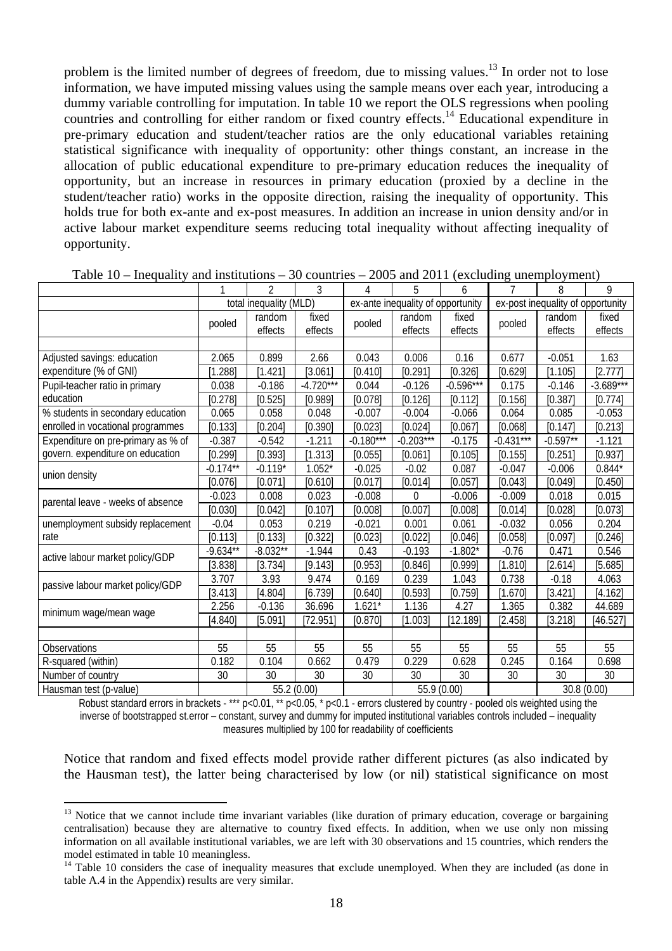problem is the limited number of degrees of freedom, due to missing values.<sup>13</sup> In order not to lose information, we have imputed missing values using the sample means over each year, introducing a dummy variable controlling for imputation. In table 10 we report the OLS regressions when pooling countries and controlling for either random or fixed country effects.<sup>14</sup> Educational expenditure in pre-primary education and student/teacher ratios are the only educational variables retaining statistical significance with inequality of opportunity: other things constant, an increase in the allocation of public educational expenditure to pre-primary education reduces the inequality of opportunity, but an increase in resources in primary education (proxied by a decline in the student/teacher ratio) works in the opposite direction, raising the inequality of opportunity. This holds true for both ex-ante and ex-post measures. In addition an increase in union density and/or in active labour market expenditure seems reducing total inequality without affecting inequality of opportunity.

|                                    | 1          | $\overline{2}$         | 3                | 4           | 5                                 | 6                | $\overline{7}$ | 8                                 | 9                |
|------------------------------------|------------|------------------------|------------------|-------------|-----------------------------------|------------------|----------------|-----------------------------------|------------------|
|                                    |            | total inequality (MLD) |                  |             | ex-ante inequality of opportunity |                  |                | ex-post inequality of opportunity |                  |
|                                    | pooled     | random<br>effects      | fixed<br>effects | pooled      | random<br>effects                 | fixed<br>effects | pooled         | random<br>effects                 | fixed<br>effects |
|                                    |            |                        |                  |             |                                   |                  |                |                                   |                  |
| Adjusted savings: education        | 2.065      | 0.899                  | 2.66             | 0.043       | 0.006                             | 0.16             | 0.677          | $-0.051$                          | 1.63             |
| expenditure (% of GNI)             | [1.288]    | [1.421]                | [3.061]          | [0.410]     | [0.291]                           | [0.326]          | [0.629]        | [1.105]                           | [2.777]          |
| Pupil-teacher ratio in primary     | 0.038      | $-0.186$               | $-4.720***$      | 0.044       | $-0.126$                          | $-0.596***$      | 0.175          | $-0.146$                          | $-3.689***$      |
| education                          | [0.278]    | [0.525]                | [0.989]          | [0.078]     | [0.126]                           | [0.112]          | [0.156]        | [0.387]                           | [0.774]          |
| % students in secondary education  | 0.065      | 0.058                  | 0.048            | $-0.007$    | $-0.004$                          | $-0.066$         | 0.064          | 0.085                             | $-0.053$         |
| enrolled in vocational programmes  | [0.133]    | [0.204]                | [0.390]          | [0.023]     | [0.024]                           | [0.067]          | [0.068]        | [0.147]                           | [0.213]          |
| Expenditure on pre-primary as % of | $-0.387$   | $-0.542$               | $-1.211$         | $-0.180***$ | $-0.203***$                       | $-0.175$         | $-0.431***$    | $-0.597**$                        | $-1.121$         |
| govern. expenditure on education   | [0.299]    | [0.393]                | [1.313]          | [0.055]     | [0.061]                           | [0.105]          | [0.155]        | [0.251]                           | [0.937]          |
|                                    | $-0.174**$ | $-0.119*$              | $1.052*$         | $-0.025$    | $-0.02$                           | 0.087            | $-0.047$       | $-0.006$                          | $0.844*$         |
| union density                      | [0.076]    | [0.071]                | [0.610]          | [0.017]     | [0.014]                           | [0.057]          | [0.043]        | [0.049]                           | [0.450]          |
| parental leave - weeks of absence  | $-0.023$   | 0.008                  | 0.023            | $-0.008$    | 0                                 | $-0.006$         | $-0.009$       | 0.018                             | 0.015            |
|                                    | [0.030]    | [0.042]                | [0.107]          | [0.008]     | [0.007]                           | [0.008]          | [0.014]        | [0.028]                           | [0.073]          |
| unemployment subsidy replacement   | $-0.04$    | 0.053                  | 0.219            | $-0.021$    | 0.001                             | 0.061            | $-0.032$       | 0.056                             | 0.204            |
| rate                               | [0.113]    | [0.133]                | [0.322]          | [0.023]     | [0.022]                           | [0.046]          | [0.058]        | [0.097]                           | [0.246]          |
| active labour market policy/GDP    | $-9.634**$ | $-8.032**$             | $-1.944$         | 0.43        | $-0.193$                          | $-1.802*$        | $-0.76$        | 0.471                             | 0.546            |
|                                    | [3.838]    | [3.734]                | [9.143]          | [0.953]     | [0.846]                           | [0.999]          | [1.810]        | [2.614]                           | [5.685]          |
| passive labour market policy/GDP   | 3.707      | 3.93                   | 9.474            | 0.169       | 0.239                             | 1.043            | 0.738          | $-0.18$                           | 4.063            |
|                                    | [3.413]    | [4.804]                | [6.739]          | [0.640]     | [0.593]                           | [0.759]          | [1.670]        | [3.421]                           | [4.162]          |
| minimum wage/mean wage             | 2.256      | $-0.136$               | 36.696           | $1.621*$    | 1.136                             | 4.27             | 1.365          | 0.382                             | 44.689           |
|                                    | [4.840]    | [5.091]                | [72.951]         | [0.870]     | [1.003]                           | [12.189]         | [2.458]        | [3.218]                           | [46.527]         |
|                                    |            |                        |                  |             |                                   |                  |                |                                   |                  |
| Observations                       | 55         | 55                     | 55               | 55          | 55                                | 55               | 55             | 55                                | 55               |
| R-squared (within)                 | 0.182      | 0.104                  | 0.662            | 0.479       | 0.229                             | 0.628            | 0.245          | 0.164                             | 0.698            |
| Number of country                  | 30         | 30                     | 30               | 30          | 30                                | 30               | 30             | 30                                | 30               |
| Hausman test (p-value)             | $+ + +$    | $0.04 +$               | 55.2 (0.00)      |             | 55.9 (0.00)                       |                  |                |                                   | 30.8 (0.00)      |

Robust standard errors in brackets - \*\*\*  $p<0.01$ , \*\*  $p<0.05$ , \*  $p<0.1$  - errors clustered by country - pooled ols weighted using the inverse of bootstrapped st.error – constant, survey and dummy for imputed institutional variables controls included – inequality measures multiplied by 100 for readability of coefficients

Notice that random and fixed effects model provide rather different pictures (as also indicated by the Hausman test), the latter being characterised by low (or nil) statistical significance on most

 $\overline{a}$ <sup>13</sup> Notice that we cannot include time invariant variables (like duration of primary education, coverage or bargaining centralisation) because they are alternative to country fixed effects. In addition, when we use only non missing information on all available institutional variables, we are left with 30 observations and 15 countries, which renders the model estimated in table 10 meaningless.

<sup>&</sup>lt;sup>14</sup> Table 10 considers the case of inequality measures that exclude unemployed. When they are included (as done in table A.4 in the Appendix) results are very similar.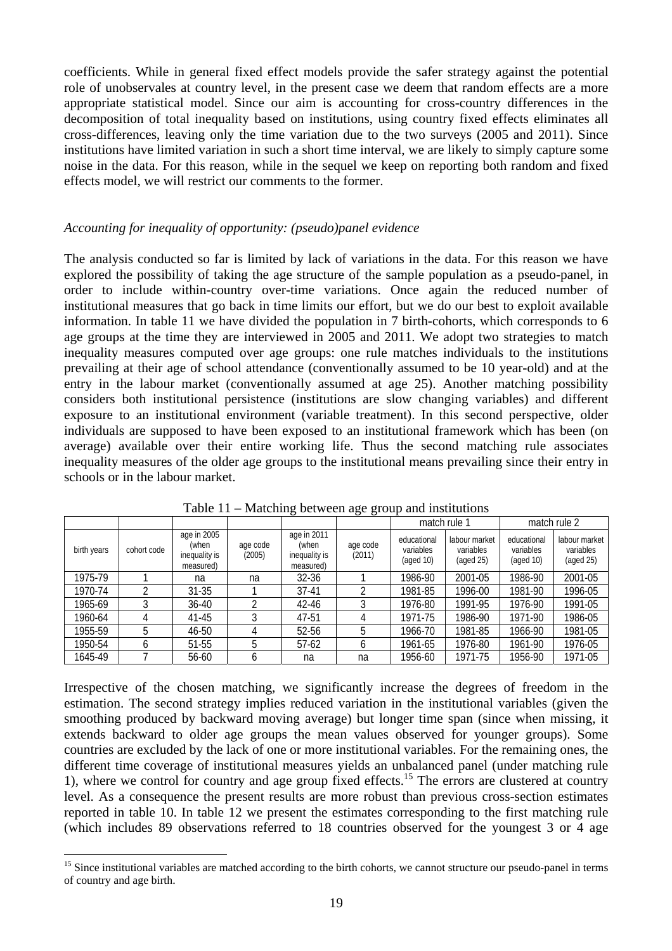coefficients. While in general fixed effect models provide the safer strategy against the potential role of unobservales at country level, in the present case we deem that random effects are a more appropriate statistical model. Since our aim is accounting for cross-country differences in the decomposition of total inequality based on institutions, using country fixed effects eliminates all cross-differences, leaving only the time variation due to the two surveys (2005 and 2011). Since institutions have limited variation in such a short time interval, we are likely to simply capture some noise in the data. For this reason, while in the sequel we keep on reporting both random and fixed effects model, we will restrict our comments to the former.

#### *Accounting for inequality of opportunity: (pseudo)panel evidence*

The analysis conducted so far is limited by lack of variations in the data. For this reason we have explored the possibility of taking the age structure of the sample population as a pseudo-panel, in order to include within-country over-time variations. Once again the reduced number of institutional measures that go back in time limits our effort, but we do our best to exploit available information. In table 11 we have divided the population in 7 birth-cohorts, which corresponds to 6 age groups at the time they are interviewed in 2005 and 2011. We adopt two strategies to match inequality measures computed over age groups: one rule matches individuals to the institutions prevailing at their age of school attendance (conventionally assumed to be 10 year-old) and at the entry in the labour market (conventionally assumed at age 25). Another matching possibility considers both institutional persistence (institutions are slow changing variables) and different exposure to an institutional environment (variable treatment). In this second perspective, older individuals are supposed to have been exposed to an institutional framework which has been (on average) available over their entire working life. Thus the second matching rule associates inequality measures of the older age groups to the institutional means prevailing since their entry in schools or in the labour market.

|             |             |                                                    |                    |                                                    |                    | match rule 1                          |                                         |                                       | match rule 2                                      |  |
|-------------|-------------|----------------------------------------------------|--------------------|----------------------------------------------------|--------------------|---------------------------------------|-----------------------------------------|---------------------------------------|---------------------------------------------------|--|
| birth years | cohort code | age in 2005<br>(when<br>inequality is<br>measured) | age code<br>(2005) | age in 2011<br>(when<br>inequality is<br>measured) | age code<br>(2011) | educational<br>variables<br>(aged 10) | labour market<br>variables<br>(aqed 25) | educational<br>variables<br>(aqed 10) | labour market<br>variables<br>$(\text{aged } 25)$ |  |
| 1975-79     |             | na                                                 | na                 | $32 - 36$                                          |                    | 1986-90                               | 2001-05                                 | 1986-90                               | 2001-05                                           |  |
| 1970-74     |             | $31 - 35$                                          |                    | $37-41$                                            |                    | 1981-85                               | 1996-00                                 | 1981-90                               | 1996-05                                           |  |
| 1965-69     |             | $36 - 40$                                          | า                  | 42-46                                              |                    | 1976-80                               | 1991-95                                 | 1976-90                               | 1991-05                                           |  |
| 1960-64     |             | $41 - 45$                                          | 3                  | 47-51                                              |                    | 1971-75                               | 1986-90                                 | 1971-90                               | 1986-05                                           |  |
| 1955-59     | 5           | $46 - 50$                                          | 4                  | 52-56                                              | .h                 | 1966-70                               | 1981-85                                 | 1966-90                               | 1981-05                                           |  |
| 1950-54     | b           | $51 - 55$                                          | 5                  | $57-62$                                            | b                  | 1961-65                               | 1976-80                                 | 1961-90                               | 1976-05                                           |  |
| 1645-49     |             | $56 - 60$                                          | b                  | na                                                 | na                 | 1956-60                               | 1971-75                                 | 1956-90                               | 1971-05                                           |  |

Table 11 – Matching between age group and institutions

Irrespective of the chosen matching, we significantly increase the degrees of freedom in the estimation. The second strategy implies reduced variation in the institutional variables (given the smoothing produced by backward moving average) but longer time span (since when missing, it extends backward to older age groups the mean values observed for younger groups). Some countries are excluded by the lack of one or more institutional variables. For the remaining ones, the different time coverage of institutional measures yields an unbalanced panel (under matching rule 1), where we control for country and age group fixed effects.<sup>15</sup> The errors are clustered at country level. As a consequence the present results are more robust than previous cross-section estimates reported in table 10. In table 12 we present the estimates corresponding to the first matching rule (which includes 89 observations referred to 18 countries observed for the youngest 3 or 4 age

<sup>&</sup>lt;sup>15</sup> Since institutional variables are matched according to the birth cohorts, we cannot structure our pseudo-panel in terms of country and age birth.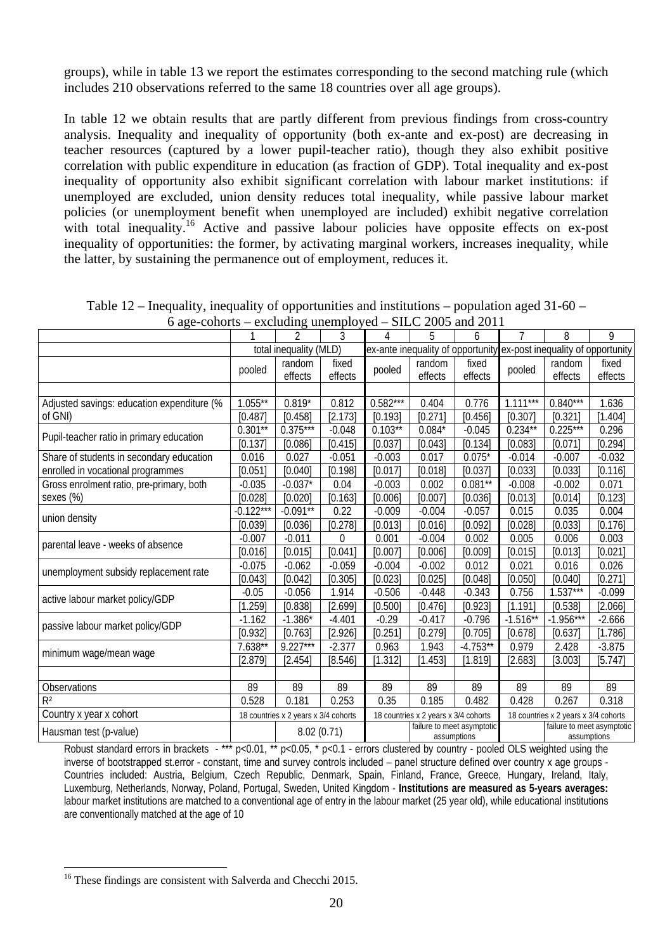groups), while in table 13 we report the estimates corresponding to the second matching rule (which includes 210 observations referred to the same 18 countries over all age groups).

In table 12 we obtain results that are partly different from previous findings from cross-country analysis. Inequality and inequality of opportunity (both ex-ante and ex-post) are decreasing in teacher resources (captured by a lower pupil-teacher ratio), though they also exhibit positive correlation with public expenditure in education (as fraction of GDP). Total inequality and ex-post inequality of opportunity also exhibit significant correlation with labour market institutions: if unemployed are excluded, union density reduces total inequality, while passive labour market policies (or unemployment benefit when unemployed are included) exhibit negative correlation with total inequality.<sup>16</sup> Active and passive labour policies have opposite effects on ex-post inequality of opportunities: the former, by activating marginal workers, increases inequality, while the latter, by sustaining the permanence out of employment, reduces it.

| $\sigma$ age-conorts – excluding unemployed – SILC 2003 and 2011 |             |                                      |          |            |                                                                     |                            |                |                                      |                            |
|------------------------------------------------------------------|-------------|--------------------------------------|----------|------------|---------------------------------------------------------------------|----------------------------|----------------|--------------------------------------|----------------------------|
|                                                                  |             | $\mathcal{P}$                        | 3        | 4          | 5                                                                   | 6                          | $\overline{7}$ | 8                                    | 9                          |
|                                                                  |             | total inequality (MLD)               |          |            | ex-ante inequality of opportunity ex-post inequality of opportunity |                            |                |                                      |                            |
|                                                                  | pooled      | random                               | fixed    | pooled     | random                                                              | fixed                      | pooled         | random                               | fixed                      |
|                                                                  |             | effects                              | effects  |            | effects                                                             | effects                    |                | effects                              | effects                    |
|                                                                  |             |                                      |          |            |                                                                     |                            |                |                                      |                            |
| Adjusted savings: education expenditure (%                       | $1.055***$  | $0.819*$                             | 0.812    | $0.582***$ | 0.404                                                               | 0.776                      | $1.111***$     | $0.840***$                           | 1.636                      |
| of GNI)                                                          | [0.487]     | [0.458]                              | [2.173]  | [0.193]    | [0.271]                                                             | [0.456]                    | [0.307]        | [0.321]                              | [1.404]                    |
| Pupil-teacher ratio in primary education                         | $0.301**$   | $0.375***$                           | $-0.048$ | $0.103**$  | $0.084*$                                                            | $-0.045$                   | $0.234***$     | $0.225***$                           | 0.296                      |
|                                                                  | [0.137]     | [0.086]                              | [0.415]  | [0.037]    | [0.043]                                                             | [0.134]                    | [0.083]        | [0.071]                              | [0.294]                    |
| Share of students in secondary education                         | 0.016       | 0.027                                | $-0.051$ | $-0.003$   | 0.017                                                               | $0.075*$                   | $-0.014$       | $-0.007$                             | $-0.032$                   |
| enrolled in vocational programmes                                | [0.051]     | [0.040]                              | [0.198]  | [0.017]    | [0.018]                                                             | [0.037]                    | [0.033]        | [0.033]                              | [0.116]                    |
| Gross enrolment ratio, pre-primary, both                         | $-0.035$    | $-0.037*$                            | 0.04     | $-0.003$   | 0.002                                                               | $0.081**$                  | $-0.008$       | $-0.002$                             | 0.071                      |
| sexes (%)                                                        | [0.028]     | [0.020]                              | [0.163]  | [0.006]    | [0.007]                                                             | [0.036]                    | [0.013]        | [0.014]                              | [0.123]                    |
| union density                                                    | $-0.122***$ | $-0.091**$                           | 0.22     | $-0.009$   | $-0.004$                                                            | $-0.057$                   | 0.015          | 0.035                                | 0.004                      |
|                                                                  | [0.039]     | [0.036]                              | [0.278]  | [0.013]    | [0.016]                                                             | [0.092]                    | [0.028]        | [0.033]                              | [0.176]                    |
| parental leave - weeks of absence                                | $-0.007$    | $-0.011$                             | 0        | 0.001      | $-0.004$                                                            | 0.002                      | 0.005          | 0.006                                | 0.003                      |
|                                                                  | [0.016]     | [0.015]                              | [0.041]  | [0.007]    | [0.006]                                                             | [0.009]                    | [0.015]        | [0.013]                              | [0.021]                    |
| unemployment subsidy replacement rate                            | $-0.075$    | $-0.062$                             | $-0.059$ | $-0.004$   | $-0.002$                                                            | 0.012                      | 0.021          | 0.016                                | 0.026                      |
|                                                                  | [0.043]     | [0.042]                              | [0.305]  | [0.023]    | [0.025]                                                             | [0.048]                    | [0.050]        | [0.040]                              | [0.271]                    |
| active labour market policy/GDP                                  | $-0.05$     | $-0.056$                             | 1.914    | $-0.506$   | $-0.448$                                                            | $-0.343$                   | 0.756          | $1.537***$                           | $-0.099$                   |
|                                                                  | [1.259]     | [0.838]                              | [2.699]  | [0.500]    | [0.476]                                                             | [0.923]                    | [1.191]        | [0.538]                              | [2.066]                    |
| passive labour market policy/GDP                                 | $-1.162$    | $-1.386*$                            | $-4.401$ | $-0.29$    | $-0.417$                                                            | $-0.796$                   | $-1.516**$     | $-1.956***$                          | $-2.666$                   |
|                                                                  | [0.932]     | [0.763]                              | [2.926]  | [0.251]    | [0.279]                                                             | [0.705]                    | [0.678]        | [0.637]                              | [1.786]                    |
| minimum wage/mean wage                                           | $7.638**$   | $9.227***$                           | $-2.377$ | 0.963      | 1.943                                                               | $-4.753**$                 | 0.979          | 2.428                                | $-3.875$                   |
|                                                                  | [2.879]     | [2.454]                              | [8.546]  | [1.312]    | [1.453]                                                             | [1.819]                    | [2.683]        | [3.003]                              | [5.747]                    |
|                                                                  |             |                                      |          |            |                                                                     |                            |                |                                      |                            |
| Observations                                                     | 89          | 89                                   | 89       | 89         | 89                                                                  | 89                         | 89             | 89                                   | 89                         |
| R <sup>2</sup>                                                   | 0.528       | 0.181                                | 0.253    | 0.35       | 0.185                                                               | 0.482                      | 0.428          | 0.267                                | 0.318                      |
| Country x year x cohort                                          |             | 18 countries x 2 years x 3/4 cohorts |          |            | 18 countries x 2 years x 3/4 cohorts                                |                            |                | 18 countries x 2 years x 3/4 cohorts |                            |
| Hausman test (p-value)                                           |             | 8.02(0.71)                           |          |            |                                                                     | failure to meet asymptotic |                |                                      | failure to meet asymptotic |
|                                                                  |             |                                      |          |            |                                                                     | assumptions                |                |                                      | assumptions                |

Table 12 – Inequality, inequality of opportunities and institutions – population aged 31-60 –  $\frac{1}{6}$  age-cohorts – excluding unemployed – SILC 2005 and 2011

Robust standard errors in brackets - \*\*\* p<0.01, \*\* p<0.05, \* p<0.1 - errors clustered by country - pooled OLS weighted using the inverse of bootstrapped st.error - constant, time and survey controls included – panel structure defined over country x age groups - Countries included: Austria, Belgium, Czech Republic, Denmark, Spain, Finland, France, Greece, Hungary, Ireland, Italy, Luxemburg, Netherlands, Norway, Poland, Portugal, Sweden, United Kingdom - **Institutions are measured as 5-years averages:** labour market institutions are matched to a conventional age of entry in the labour market (25 year old), while educational institutions are conventionally matched at the age of 10

<sup>&</sup>lt;sup>16</sup> These findings are consistent with Salverda and Checchi 2015.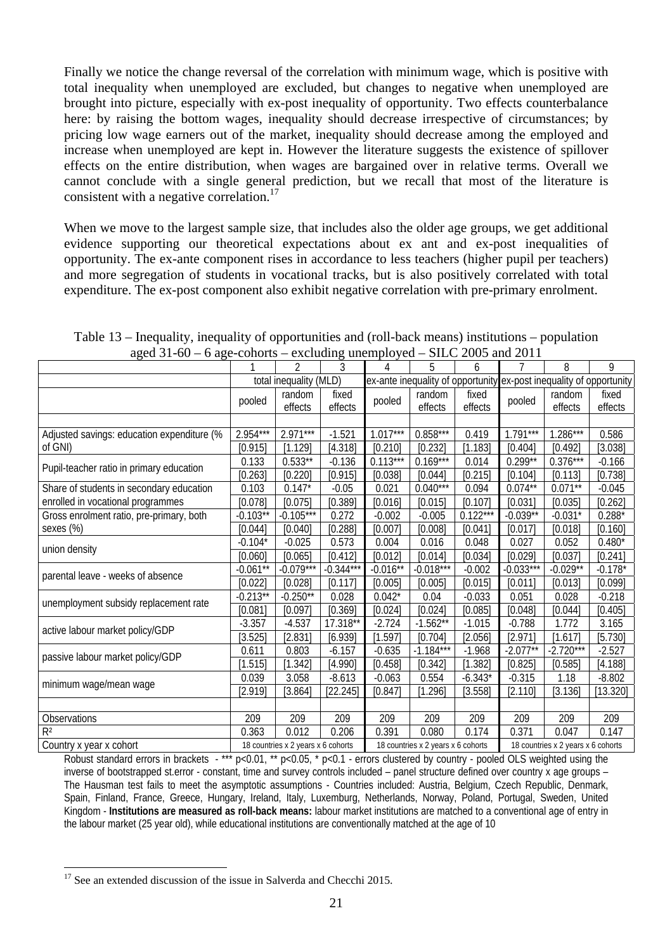Finally we notice the change reversal of the correlation with minimum wage, which is positive with total inequality when unemployed are excluded, but changes to negative when unemployed are brought into picture, especially with ex-post inequality of opportunity. Two effects counterbalance here: by raising the bottom wages, inequality should decrease irrespective of circumstances; by pricing low wage earners out of the market, inequality should decrease among the employed and increase when unemployed are kept in. However the literature suggests the existence of spillover effects on the entire distribution, when wages are bargained over in relative terms. Overall we cannot conclude with a single general prediction, but we recall that most of the literature is consistent with a negative correlation.<sup>17</sup>

When we move to the largest sample size, that includes also the older age groups, we get additional evidence supporting our theoretical expectations about ex ant and ex-post inequalities of opportunity. The ex-ante component rises in accordance to less teachers (higher pupil per teachers) and more segregation of students in vocational tracks, but is also positively correlated with total expenditure. The ex-post component also exhibit negative correlation with pre-primary enrolment.

|                                            |            | $\overline{2}$                     | 3                | 4           | 5                                  | 6                | $\overline{7}$                    | 8                                  | 9                |
|--------------------------------------------|------------|------------------------------------|------------------|-------------|------------------------------------|------------------|-----------------------------------|------------------------------------|------------------|
|                                            |            | total inequality (MLD)             |                  |             | ex-ante inequality of opportunity  |                  | ex-post inequality of opportunity |                                    |                  |
|                                            | pooled     | random<br>effects                  | fixed<br>effects | pooled      | random<br>effects                  | fixed<br>effects | pooled                            | random<br>effects                  | fixed<br>effects |
|                                            |            |                                    |                  |             |                                    |                  |                                   |                                    |                  |
| Adjusted savings: education expenditure (% | 2.954***   | $2.971***$                         | $-1.521$         | $1.017***$  | $0.858***$                         | 0.419            | $1.791***$                        | $.286***$                          | 0.586            |
| of GNI)                                    | [0.915]    | [1.129]                            | [4.318]          | [0.210]     | [0.232]                            | [1.183]          | [0.404]                           | [0.492]                            | [3.038]          |
|                                            | 0.133      | $0.533**$                          | $-0.136$         | $0.113***$  | $0.169***$                         | 0.014            | $0.299**$                         | $0.376***$                         | $-0.166$         |
| Pupil-teacher ratio in primary education   | [0.263]    | [0.220]                            | [0.915]          | [0.038]     | [0.044]                            | [0.215]          | [0.104]                           | [0.113]                            | [0.738]          |
| Share of students in secondary education   | 0.103      | $0.147*$                           | $-0.05$          | 0.021       | $0.040***$                         | 0.094            | $0.074**$                         | $0.071**$                          | $-0.045$         |
| enrolled in vocational programmes          | [0.078]    | [0.075]                            | [0.389]          | [0.016]     | [0.015]                            | [0.107]          | [0.031]                           | [0.035]                            | [0.262]          |
| Gross enrolment ratio, pre-primary, both   | $-0.103**$ | $-0.105***$                        | 0.272            | $-0.002$    | $-0.005$                           | $0.122***$       | $-0.039**$                        | $-0.031*$                          | $0.288*$         |
| sexes (%)                                  | [0.044]    | [0.040]                            | [0.288]          | [0.007]     | [0.008]                            | [0.041]          | [0.017]                           | [0.018]                            | [0.160]          |
| union density                              | $-0.104*$  | $-0.025$                           | 0.573            | 0.004       | 0.016                              | 0.048            | 0.027                             | 0.052                              | $0.480*$         |
|                                            | [0.060]    | [0.065]                            | [0.412]          | [0.012]     | [0.014]                            | [0.034]          | [0.029]                           | [0.037]                            | [0.241]          |
| parental leave - weeks of absence          | $-0.061**$ | $-0.079***$                        | $-0.344***$      | $-0.016***$ | $-0.018***$                        | $-0.002$         | $-0.033***$                       | $-0.029**$                         | $-0.178*$        |
|                                            | [0.022]    | [0.028]                            | [0.117]          | [0.005]     | [0.005]                            | [0.015]          | [0.011]                           | [0.013]                            | [0.099]          |
| unemployment subsidy replacement rate      | $-0.213**$ | $-0.250**$                         | 0.028            | $0.042*$    | 0.04                               | $-0.033$         | 0.051                             | 0.028                              | $-0.218$         |
|                                            | [0.081]    | [0.097]                            | [0.369]          | [0.024]     | [0.024]                            | [0.085]          | [0.048]                           | [0.044]                            | [0.405]          |
| active labour market policy/GDP            | $-3.357$   | $-4.537$                           | 17.318**         | $-2.724$    | $-1.562**$                         | $-1.015$         | $-0.788$                          | 1.772                              | 3.165            |
|                                            | [3.525]    | [2.831]                            | [6.939]          | [1.597]     | [0.704]                            | [2.056]          | [2.971]                           | [1.617]                            | [5.730]          |
| passive labour market policy/GDP           | 0.611      | 0.803                              | $-6.157$         | $-0.635$    | $-1.184***$                        | $-1.968$         | $-2.077**$                        | $-2.720***$                        | $-2.527$         |
|                                            | [1.515]    | [1.342]                            | [4.990]          | [0.458]     | [0.342]                            | [1.382]          | [0.825]                           | [0.585]                            | [4.188]          |
| minimum wage/mean wage                     | 0.039      | 3.058                              | $-8.613$         | $-0.063$    | 0.554                              | $-6.343*$        | $-0.315$                          | 1.18                               | $-8.802$         |
|                                            | $[2.919]$  | [3.864]                            | [22.245]         | [0.847]     | [1.296]                            | [3.558]          | [2.110]                           | [3.136]                            | [13.320]         |
|                                            |            |                                    |                  |             |                                    |                  |                                   |                                    |                  |
| Observations                               | 209        | 209                                | 209              | 209         | 209                                | 209              | 209                               | 209                                | 209              |
| R <sup>2</sup>                             | 0.363      | 0.012                              | 0.206            | 0.391       | 0.080                              | 0.174            | 0.371                             | 0.047                              | 0.147            |
| Country x year x cohort                    |            | 18 countries x 2 years x 6 cohorts |                  |             | 18 countries x 2 years x 6 cohorts |                  |                                   | 18 countries x 2 years x 6 cohorts |                  |

Table 13 – Inequality, inequality of opportunities and (roll-back means) institutions – population aged 31-60 – 6 age-cohorts – excluding unemployed – SILC 2005 and 2011

Robust standard errors in brackets  $-***$  p<0.01, \*\* p<0.05, \* p<0.1 - errors clustered by country - pooled OLS weighted using the inverse of bootstrapped st.error - constant, time and survey controls included – panel structure defined over country x age groups – The Hausman test fails to meet the asymptotic assumptions - Countries included: Austria, Belgium, Czech Republic, Denmark, Spain, Finland, France, Greece, Hungary, Ireland, Italy, Luxemburg, Netherlands, Norway, Poland, Portugal, Sweden, United Kingdom - **Institutions are measured as roll-back means:** labour market institutions are matched to a conventional age of entry in the labour market (25 year old), while educational institutions are conventionally matched at the age of 10

 $17$  See an extended discussion of the issue in Salverda and Checchi 2015.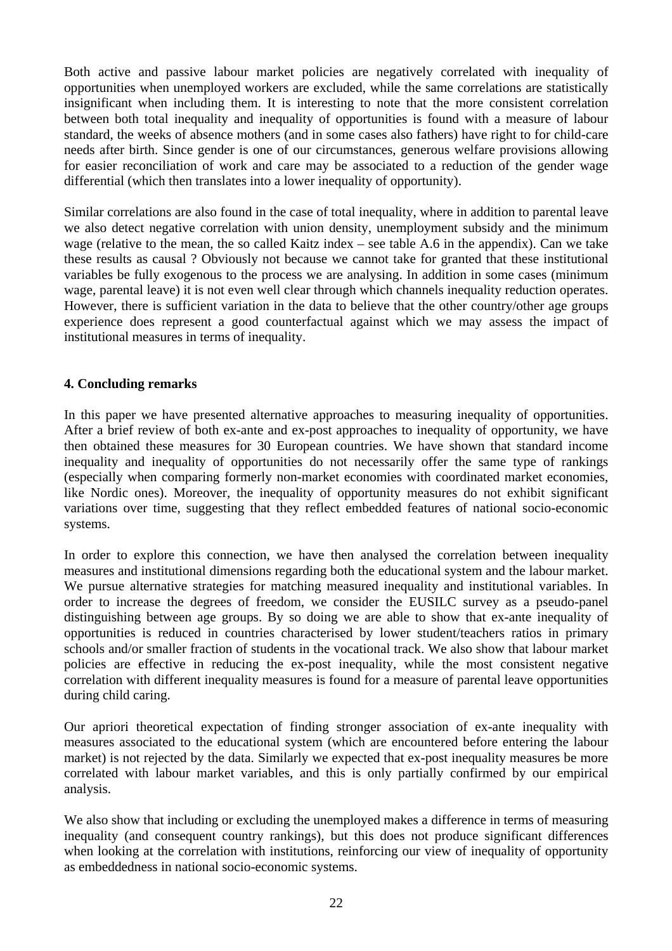Both active and passive labour market policies are negatively correlated with inequality of opportunities when unemployed workers are excluded, while the same correlations are statistically insignificant when including them. It is interesting to note that the more consistent correlation between both total inequality and inequality of opportunities is found with a measure of labour standard, the weeks of absence mothers (and in some cases also fathers) have right to for child-care needs after birth. Since gender is one of our circumstances, generous welfare provisions allowing for easier reconciliation of work and care may be associated to a reduction of the gender wage differential (which then translates into a lower inequality of opportunity).

Similar correlations are also found in the case of total inequality, where in addition to parental leave we also detect negative correlation with union density, unemployment subsidy and the minimum wage (relative to the mean, the so called Kaitz index – see table A.6 in the appendix). Can we take these results as causal ? Obviously not because we cannot take for granted that these institutional variables be fully exogenous to the process we are analysing. In addition in some cases (minimum wage, parental leave) it is not even well clear through which channels inequality reduction operates. However, there is sufficient variation in the data to believe that the other country/other age groups experience does represent a good counterfactual against which we may assess the impact of institutional measures in terms of inequality.

# **4. Concluding remarks**

In this paper we have presented alternative approaches to measuring inequality of opportunities. After a brief review of both ex-ante and ex-post approaches to inequality of opportunity, we have then obtained these measures for 30 European countries. We have shown that standard income inequality and inequality of opportunities do not necessarily offer the same type of rankings (especially when comparing formerly non-market economies with coordinated market economies, like Nordic ones). Moreover, the inequality of opportunity measures do not exhibit significant variations over time, suggesting that they reflect embedded features of national socio-economic systems.

In order to explore this connection, we have then analysed the correlation between inequality measures and institutional dimensions regarding both the educational system and the labour market. We pursue alternative strategies for matching measured inequality and institutional variables. In order to increase the degrees of freedom, we consider the EUSILC survey as a pseudo-panel distinguishing between age groups. By so doing we are able to show that ex-ante inequality of opportunities is reduced in countries characterised by lower student/teachers ratios in primary schools and/or smaller fraction of students in the vocational track. We also show that labour market policies are effective in reducing the ex-post inequality, while the most consistent negative correlation with different inequality measures is found for a measure of parental leave opportunities during child caring.

Our apriori theoretical expectation of finding stronger association of ex-ante inequality with measures associated to the educational system (which are encountered before entering the labour market) is not rejected by the data. Similarly we expected that ex-post inequality measures be more correlated with labour market variables, and this is only partially confirmed by our empirical analysis.

We also show that including or excluding the unemployed makes a difference in terms of measuring inequality (and consequent country rankings), but this does not produce significant differences when looking at the correlation with institutions, reinforcing our view of inequality of opportunity as embeddedness in national socio-economic systems.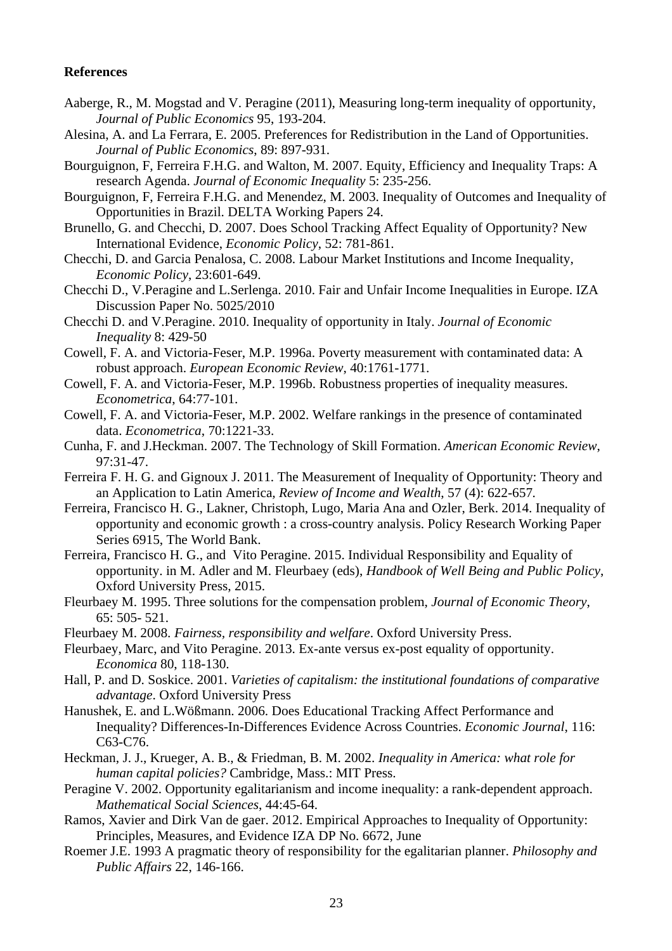#### **References**

- Aaberge, R., M. Mogstad and V. Peragine (2011), Measuring long-term inequality of opportunity, *Journal of Public Economics* 95, 193-204.
- Alesina, A. and La Ferrara, E. 2005. Preferences for Redistribution in the Land of Opportunities. *Journal of Public Economics*, 89: 897-931.
- Bourguignon, F, Ferreira F.H.G. and Walton, M. 2007. Equity, Efficiency and Inequality Traps: A research Agenda. *Journal of Economic Inequality* 5: 235-256.
- Bourguignon, F, Ferreira F.H.G. and Menendez, M. 2003. Inequality of Outcomes and Inequality of Opportunities in Brazil. DELTA Working Papers 24.
- Brunello, G. and Checchi, D. 2007. Does School Tracking Affect Equality of Opportunity? New International Evidence, *Economic Policy*, 52: 781-861.
- Checchi, D. and Garcia Penalosa, C. 2008. Labour Market Institutions and Income Inequality, *Economic Policy*, 23:601-649.
- Checchi D., V.Peragine and L.Serlenga. 2010. Fair and Unfair Income Inequalities in Europe. IZA Discussion Paper No. 5025/2010
- Checchi D. and V.Peragine. 2010. Inequality of opportunity in Italy. *Journal of Economic Inequality* 8: 429-50
- Cowell, F. A. and Victoria-Feser, M.P. 1996a. Poverty measurement with contaminated data: A robust approach. *European Economic Review*, 40:1761-1771.
- Cowell, F. A. and Victoria-Feser, M.P. 1996b. Robustness properties of inequality measures. *Econometrica*, 64:77-101.
- Cowell, F. A. and Victoria-Feser, M.P. 2002. Welfare rankings in the presence of contaminated data. *Econometrica*, 70:1221-33.
- Cunha, F. and J.Heckman. 2007. The Technology of Skill Formation. *American Economic Review*, 97:31-47.
- Ferreira F. H. G. and Gignoux J. 2011. The Measurement of Inequality of Opportunity: Theory and an Application to Latin America*, Review of Income and Wealth*, 57 (4): 622-657*.*
- Ferreira, Francisco H. G., Lakner, Christoph, Lugo, Maria Ana and Ozler, Berk. 2014. Inequality of opportunity and economic growth : a cross-country analysis. Policy Research Working Paper Series 6915, The World Bank.
- Ferreira, Francisco H. G., and Vito Peragine. 2015. Individual Responsibility and Equality of opportunity. in M. Adler and M. Fleurbaey (eds), *Handbook of Well Being and Public Policy*, Oxford University Press, 2015.
- Fleurbaey M. 1995. Three solutions for the compensation problem, *Journal of Economic Theory*, 65: 505- 521.
- Fleurbaey M. 2008. *Fairness, responsibility and welfare*. Oxford University Press.
- Fleurbaey, Marc, and Vito Peragine. 2013. Ex-ante versus ex-post equality of opportunity. *Economica* 80, 118-130.
- Hall, P. and D. Soskice. 2001. *Varieties of capitalism: the institutional foundations of comparative advantage*. Oxford University Press
- Hanushek, E. and L.Wößmann. 2006. Does Educational Tracking Affect Performance and Inequality? Differences-In-Differences Evidence Across Countries. *Economic Journal*, 116: C63-C76.
- Heckman, J. J., Krueger, A. B., & Friedman, B. M. 2002. *Inequality in America: what role for human capital policies?* Cambridge, Mass.: MIT Press.
- Peragine V. 2002. Opportunity egalitarianism and income inequality: a rank-dependent approach. *Mathematical Social Sciences*, 44:45-64.
- Ramos, Xavier and Dirk Van de gaer. 2012. Empirical Approaches to Inequality of Opportunity: Principles, Measures, and Evidence IZA DP No. 6672, June
- Roemer J.E. 1993 A pragmatic theory of responsibility for the egalitarian planner. *Philosophy and Public Affairs* 22, 146-166.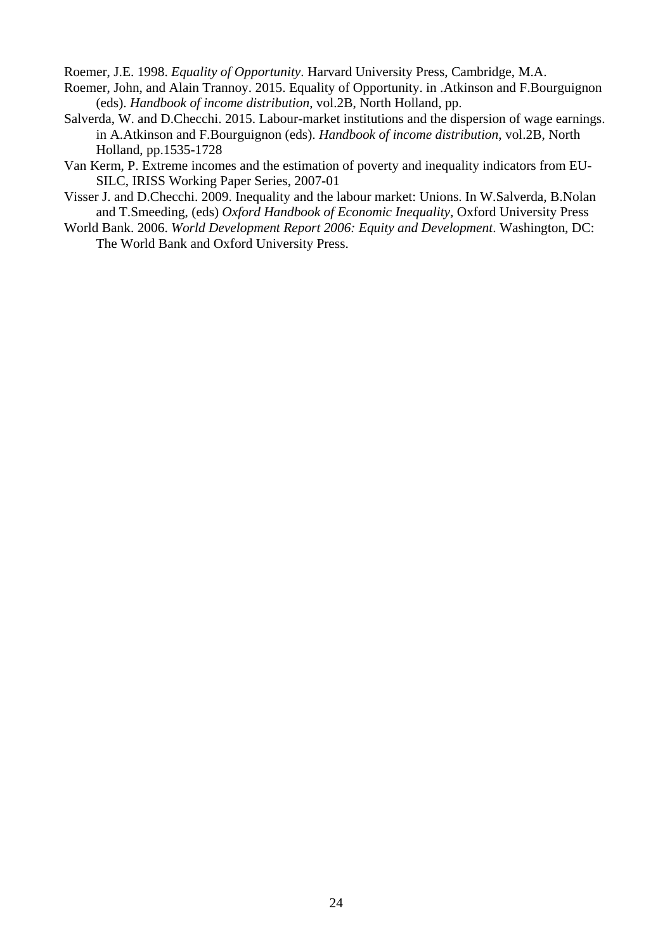Roemer, J.E. 1998. *Equality of Opportunity*. Harvard University Press, Cambridge, M.A.

- Roemer, John, and Alain Trannoy. 2015. Equality of Opportunity. in .Atkinson and F.Bourguignon (eds). *Handbook of income distribution*, vol.2B, North Holland, pp.
- Salverda, W. and D.Checchi. 2015. Labour-market institutions and the dispersion of wage earnings. in A.Atkinson and F.Bourguignon (eds). *Handbook of income distribution*, vol.2B, North Holland, pp.1535-1728
- Van Kerm, P. Extreme incomes and the estimation of poverty and inequality indicators from EU-SILC, IRISS Working Paper Series, 2007-01
- Visser J. and D.Checchi. 2009. Inequality and the labour market: Unions. In W.Salverda, B.Nolan and T.Smeeding, (eds) *Oxford Handbook of Economic Inequality*, Oxford University Press
- World Bank. 2006. *World Development Report 2006: Equity and Development*. Washington, DC: The World Bank and Oxford University Press.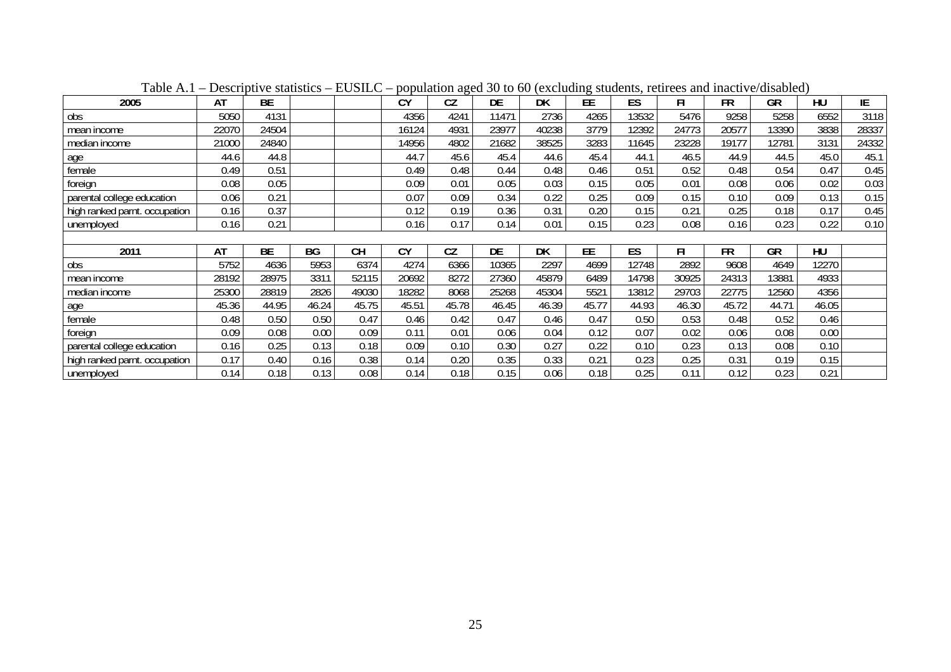| 2005                          | AT    | <b>BE</b> |       |       | <b>CY</b> | CZ    | DE    | DK    | EE.   | ES    | FI    | FR    | GR    | HU    | IE.   |
|-------------------------------|-------|-----------|-------|-------|-----------|-------|-------|-------|-------|-------|-------|-------|-------|-------|-------|
| obs                           | 5050  | 4131      |       |       | 4356      | 4241  | 11471 | 2736  | 4265  | 13532 | 5476  | 9258  | 5258  | 6552  | 3118  |
| mean income                   | 22070 | 24504     |       |       | 16124     | 4931  | 23977 | 40238 | 3779  | 12392 | 24773 | 20577 | 13390 | 3838  | 28337 |
| median income                 | 21000 | 24840     |       |       | 14956     | 4802  | 21682 | 38525 | 3283  | 11645 | 23228 | 19177 | 12781 | 3131  | 24332 |
| age                           | 44.6  | 44.8      |       |       | 44.7      | 45.6  | 45.4  | 44.6  | 45.4  | 44.1  | 46.5  | 44.9  | 44.5  | 45.0  | 45.1  |
| female                        | 0.49  | 0.51      |       |       | 0.49      | 0.48  | 0.44  | 0.48  | 0.46  | 0.51  | 0.52  | 0.48  | 0.54  | 0.47  | 0.45  |
| foreign                       | 0.08  | 0.05      |       |       | 0.09      | 0.01  | 0.05  | 0.03  | 0.15  | 0.05  | 0.01  | 0.08  | 0.06  | 0.02  | 0.03  |
| parental college education    | 0.06  | 0.21      |       |       | 0.07      | 0.09  | 0.34  | 0.22  | 0.25  | 0.09  | 0.15  | 0.10  | 0.09  | 0.13  | 0.15  |
| high ranked parnt. occupation | 0.16  | 0.37      |       |       | 0.12      | 0.19  | 0.36  | 0.31  | 0.20  | 0.15  | 0.21  | 0.25  | 0.18  | 0.17  | 0.45  |
| unemployed                    | 0.16  | 0.21      |       |       | 0.16      | 0.17  | 0.14  | 0.01  | 0.15  | 0.23  | 0.08  | 0.16  | 0.23  | 0.22  | 0.10  |
|                               |       |           |       |       |           |       |       |       |       |       |       |       |       |       |       |
| 2011                          | ĀT    | <b>BE</b> | ВG    | CН    | <b>CY</b> | CZ    | DE    | DK    | EE.   | ES    | FI    | FR    | GR    | HU    |       |
| obs                           | 5752  | 4636      | 5953  | 6374  | 4274      | 6366  | 10365 | 2297  | 4699  | 12748 | 2892  | 9608  | 4649  | 12270 |       |
| mean income                   | 28192 | 28975     | 3311  | 52115 | 20692     | 8272  | 27360 | 45879 | 6489  | 14798 | 30925 | 24313 | 13881 | 4933  |       |
| median income                 | 25300 | 28819     | 2826  | 49030 | 18282     | 8068  | 25268 | 45304 | 5521  | 13812 | 29703 | 22775 | 12560 | 4356  |       |
| age                           | 45.36 | 44.95     | 46.24 | 45.75 | 45.51     | 45.78 | 46.45 | 46.39 | 45.77 | 44.93 | 46.30 | 45.72 | 44.71 | 46.05 |       |
| female                        | 0.48  | 0.50      | 0.50  | 0.47  | 0.46      | 0.42  | 0.47  | 0.46  | 0.47  | 0.50  | 0.53  | 0.48  | 0.52  | 0.46  |       |
| foreign                       | 0.09  | 0.08      | 0.00  | 0.09  | 0.11      | 0.01  | 0.06  | 0.04  | 0.12  | 0.07  | 0.02  | 0.06  | 0.08  | 0.00  |       |
| parental college education    | 0.16  | 0.25      | 0.13  | 0.18  | 0.09      | 0.10  | 0.30  | 0.27  | 0.22  | 0.10  | 0.23  | 0.13  | 0.08  | 0.10  |       |
| high ranked parnt. occupation | 0.17  | 0.40      | 0.16  | 0.38  | 0.14      | 0.20  | 0.35  | 0.33  | 0.21  | 0.23  | 0.25  | 0.31  | 0.19  | 0.15  |       |
| unemployed                    | 0.14  | 0.18      | 0.13  | 0.08  | 0.14      | 0.18  | 0.15  | 0.06  | 0.18  | 0.25  | 0.11  | 0.12  | 0.23  | 0.21  |       |

Table A.1 – Descriptive statistics – EUSILC – population aged 30 to 60 (excluding students, retirees and inactive/disabled)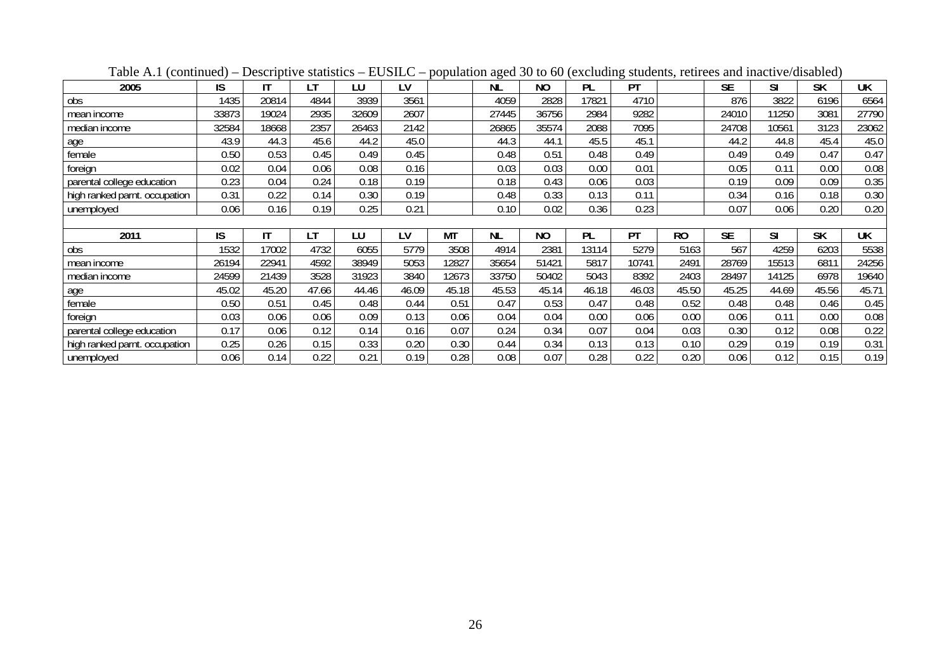| 2005                          | IS    | IΤ    | 1     | LU    | _V    |       | <b>NL</b> | <b>NO</b> | PL        | PT    |                | <b>SE</b> | SI        | <b>SK</b> | <b>UK</b> |
|-------------------------------|-------|-------|-------|-------|-------|-------|-----------|-----------|-----------|-------|----------------|-----------|-----------|-----------|-----------|
| obs                           | 1435  | 20814 | 4844  | 3939  | 3561  |       | 4059      | 2828      | 17821     | 4710  |                | 876       | 3822      | 6196      | 6564      |
| mean income                   | 33873 | 19024 | 2935  | 32609 | 2607  |       | 27445     | 36756     | 2984      | 9282  |                | 24010     | 11250     | 3081      | 27790     |
| median income                 | 32584 | 18668 | 2357  | 26463 | 2142  |       | 26865     | 35574     | 2088      | 7095  |                | 24708     | 10561     | 3123      | 23062     |
| age                           | 43.9  | 44.3  | 45.6  | 44.2  | 45.0  |       | 44.3      | 44.1      | 45.5      | 45.1  |                | 44.2      | 44.8      | 45.4      | 45.0      |
| female                        | 0.50  | 0.53  | 0.45  | 0.49  | 0.45  |       | 0.48      | 0.51      | 0.48      | 0.49  |                | 0.49      | 0.49      | 0.47      | 0.47      |
| foreign                       | 0.02  | 0.04  | 0.06  | 0.08  | 0.16  |       | 0.03      | 0.03      | 0.00      | 0.01  |                | 0.05      | 0.11      | 0.00      | 0.08      |
| parental college education    | 0.23  | 0.04  | 0.24  | 0.18  | 0.19  |       | 0.18      | 0.43      | 0.06      | 0.03  |                | 0.19      | 0.09      | 0.09      | 0.35      |
| high ranked parnt. occupation | 0.31  | 0.22  | 0.14  | 0.30  | 0.19  |       | 0.48      | 0.33      | 0.13      | 0.11  |                | 0.34      | 0.16      | 0.18      | 0.30      |
| unemployed                    | 0.06  | 0.16  | 0.19  | 0.25  | 0.21  |       | 0.10      | 0.02      | 0.36      | 0.23  |                | 0.07      | 0.06      | 0.20      | 0.20      |
|                               |       |       |       |       |       |       |           |           |           |       |                |           |           |           |           |
| 2011                          | IS    | IΤ    | ΙT    | LU    | _V    | МT    | <b>NL</b> | <b>NO</b> | <b>PI</b> | PT    | R <sub>O</sub> | <b>SE</b> | <b>SI</b> | <b>SK</b> | UK        |
| obs                           | 1532  | 17002 | 4732  | 6055  | 5779  | 3508  | 4914      | 2381      | 13114     | 5279  | 5163           | 567       | 4259      | 6203      | 5538      |
| mean income                   | 26194 | 22941 | 4592  | 38949 | 5053  | 12827 | 35654     | 51421     | 5817      | 10741 | 2491           | 28769     | 15513     | 6811      | 24256     |
| median income                 | 24599 | 21439 | 3528  | 31923 | 3840  | 12673 | 33750     | 50402     | 5043      | 8392  | 2403           | 28497     | 14125     | 6978      | 19640     |
| age                           | 45.02 | 45.20 | 47.66 | 44.46 | 46.09 | 45.18 | 45.53     | 45.14     | 46.18     | 46.03 | 45.50          | 45.25     | 44.69     | 45.56     | 45.71     |
| female                        | 0.50  | 0.51  | 0.45  | 0.48  | 0.44  | 0.51  | 0.47      | 0.53      | 0.47      | 0.48  | 0.52           | 0.48      | 0.48      | 0.46      | 0.45      |
| foreign                       | 0.03  | 0.06  | 0.06  | 0.09  | 0.13  | 0.06  | 0.04      | 0.04      | 0.00      | 0.06  | 0.00           | 0.06      | 0.11      | 0.00      | 0.08      |
| parental college education    | 0.17  | 0.06  | 0.12  | 0.14  | 0.16  | 0.07  | 0.24      | 0.34      | 0.07      | 0.04  | 0.03           | 0.30      | 0.12      | 0.08      | 0.22      |
| high ranked parnt. occupation | 0.25  | 0.26  | 0.15  | 0.33  | 0.20  | 0.30  | 0.44      | 0.34      | 0.13      | 0.13  | 0.10           | 0.29      | 0.19      | 0.19      | 0.31      |
| unemployed                    | 0.06  | 0.14  | 0.22  | 0.21  | 0.19  | 0.28  | 0.08      | 0.07      | 0.28      | 0.22  | 0.20           | 0.06      | 0.12      | 0.15      | 0.19      |

Table A.1 (continued) – Descriptive statistics – EUSILC – population aged 30 to 60 (excluding students, retirees and inactive/disabled)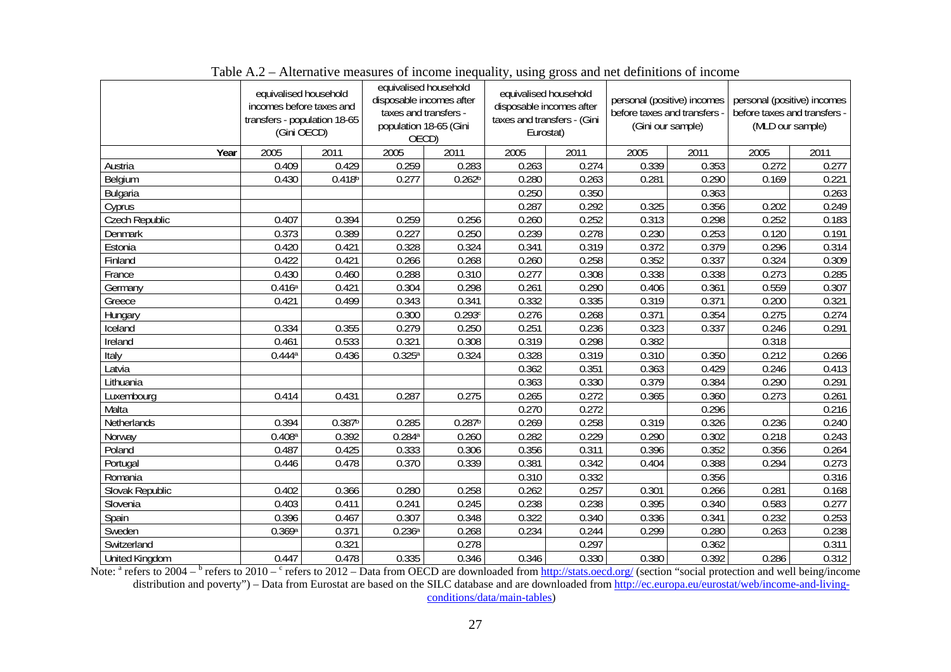|                       | equivalised household<br>incomes before taxes and<br>transfers - population 18-65<br>(Gini OECD) |                    | equivalised household<br>disposable incomes after<br>taxes and transfers -<br>population 18-65 (Gini<br>OECD) |                    | equivalised household<br>disposable incomes after | taxes and transfers - (Gini<br>Eurostat) | personal (positive) incomes<br>before taxes and transfers -<br>(Gini our sample) |       | personal (positive) incomes<br>before taxes and transfers -<br>(MLD our sample) |       |
|-----------------------|--------------------------------------------------------------------------------------------------|--------------------|---------------------------------------------------------------------------------------------------------------|--------------------|---------------------------------------------------|------------------------------------------|----------------------------------------------------------------------------------|-------|---------------------------------------------------------------------------------|-------|
| Year                  | 2005                                                                                             | 2011               | 2005                                                                                                          | 2011               | 2005                                              | 2011                                     | 2005                                                                             | 2011  | 2005                                                                            | 2011  |
| Austria               | 0.409                                                                                            | 0.429              | 0.259                                                                                                         | 0.283              | 0.263                                             | 0.274                                    | 0.339                                                                            | 0.353 | 0.272                                                                           | 0.277 |
| Belgium               | 0.430                                                                                            | 0.418 <sup>b</sup> | 0.277                                                                                                         | 0.262 <sup>b</sup> | 0.280                                             | 0.263                                    | 0.281                                                                            | 0.290 | 0.169                                                                           | 0.221 |
| Bulgaria              |                                                                                                  |                    |                                                                                                               |                    | 0.250                                             | 0.350                                    |                                                                                  | 0.363 |                                                                                 | 0.263 |
| Cyprus                |                                                                                                  |                    |                                                                                                               |                    | 0.287                                             | 0.292                                    | 0.325                                                                            | 0.356 | 0.202                                                                           | 0.249 |
| <b>Czech Republic</b> | 0.407                                                                                            | 0.394              | 0.259                                                                                                         | 0.256              | 0.260                                             | 0.252                                    | 0.313                                                                            | 0.298 | 0.252                                                                           | 0.183 |
| Denmark               | 0.373                                                                                            | 0.389              | 0.227                                                                                                         | 0.250              | 0.239                                             | 0.278                                    | 0.230                                                                            | 0.253 | 0.120                                                                           | 0.191 |
| Estonia               | 0.420                                                                                            | 0.421              | 0.328                                                                                                         | 0.324              | 0.341                                             | 0.319                                    | 0.372                                                                            | 0.379 | 0.296                                                                           | 0.314 |
| Finland               | 0.422                                                                                            | 0.421              | 0.266                                                                                                         | 0.268              | 0.260                                             | 0.258                                    | 0.352                                                                            | 0.337 | 0.324                                                                           | 0.309 |
| France                | 0.430                                                                                            | 0.460              | 0.288                                                                                                         | 0.310              | 0.277                                             | 0.308                                    | 0.338                                                                            | 0.338 | 0.273                                                                           | 0.285 |
| Germany               | 0.416a                                                                                           | 0.421              | 0.304                                                                                                         | 0.298              | 0.261                                             | 0.290                                    | 0.406                                                                            | 0.361 | 0.559                                                                           | 0.307 |
| Greece                | 0.421                                                                                            | 0.499              | 0.343                                                                                                         | 0.341              | 0.332                                             | 0.335                                    | 0.319                                                                            | 0.371 | 0.200                                                                           | 0.321 |
| Hungary               |                                                                                                  |                    | 0.300                                                                                                         | 0.293c             | 0.276                                             | 0.268                                    | 0.371                                                                            | 0.354 | 0.275                                                                           | 0.274 |
| Iceland               | 0.334                                                                                            | 0.355              | 0.279                                                                                                         | 0.250              | 0.251                                             | 0.236                                    | 0.323                                                                            | 0.337 | 0.246                                                                           | 0.291 |
| Ireland               | 0.461                                                                                            | 0.533              | 0.321                                                                                                         | 0.308              | 0.319                                             | 0.298                                    | 0.382                                                                            |       | 0.318                                                                           |       |
| Italy                 | 0.444a                                                                                           | 0.436              | 0.325a                                                                                                        | 0.324              | 0.328                                             | 0.319                                    | 0.310                                                                            | 0.350 | 0.212                                                                           | 0.266 |
| Latvia                |                                                                                                  |                    |                                                                                                               |                    | 0.362                                             | 0.351                                    | 0.363                                                                            | 0.429 | 0.246                                                                           | 0.413 |
| Lithuania             |                                                                                                  |                    |                                                                                                               |                    | 0.363                                             | 0.330                                    | 0.379                                                                            | 0.384 | 0.290                                                                           | 0.291 |
| Luxembourg            | 0.414                                                                                            | 0.431              | 0.287                                                                                                         | 0.275              | 0.265                                             | 0.272                                    | 0.365                                                                            | 0.360 | 0.273                                                                           | 0.261 |
| Malta                 |                                                                                                  |                    |                                                                                                               |                    | 0.270                                             | 0.272                                    |                                                                                  | 0.296 |                                                                                 | 0.216 |
| Netherlands           | 0.394                                                                                            | 0.387 <sup>b</sup> | 0.285                                                                                                         | 0.287 <sup>b</sup> | 0.269                                             | 0.258                                    | 0.319                                                                            | 0.326 | 0.236                                                                           | 0.240 |
| Norway                | 0.408a                                                                                           | 0.392              | 0.284a                                                                                                        | 0.260              | 0.282                                             | 0.229                                    | 0.290                                                                            | 0.302 | 0.218                                                                           | 0.243 |
| Poland                | 0.487                                                                                            | 0.425              | 0.333                                                                                                         | 0.306              | 0.356                                             | 0.311                                    | 0.396                                                                            | 0.352 | 0.356                                                                           | 0.264 |
| Portugal              | 0.446                                                                                            | 0.478              | 0.370                                                                                                         | 0.339              | 0.381                                             | 0.342                                    | 0.404                                                                            | 0.388 | 0.294                                                                           | 0.273 |
| Romania               |                                                                                                  |                    |                                                                                                               |                    | 0.310                                             | 0.332                                    |                                                                                  | 0.356 |                                                                                 | 0.316 |
| Slovak Republic       | 0.402                                                                                            | 0.366              | 0.280                                                                                                         | 0.258              | 0.262                                             | 0.257                                    | 0.301                                                                            | 0.266 | 0.281                                                                           | 0.168 |
| Slovenia              | 0.403                                                                                            | 0.411              | 0.241                                                                                                         | 0.245              | 0.238                                             | 0.238                                    | 0.395                                                                            | 0.340 | 0.583                                                                           | 0.277 |
| Spain                 | 0.396                                                                                            | 0.467              | 0.307                                                                                                         | 0.348              | 0.322                                             | 0.340                                    | 0.336                                                                            | 0.341 | 0.232                                                                           | 0.253 |
| Sweden                | 0.369a                                                                                           | 0.371              | 0.236a                                                                                                        | 0.268              | 0.234                                             | 0.244                                    | 0.299                                                                            | 0.280 | 0.263                                                                           | 0.238 |
| Switzerland           |                                                                                                  | 0.321              |                                                                                                               | 0.278              |                                                   | 0.297                                    |                                                                                  | 0.362 |                                                                                 | 0.311 |
| <b>United Kingdom</b> | 0.447                                                                                            | 0.478              | 0.335                                                                                                         | 0.346              | 0.346                                             | 0.330                                    | 0.380                                                                            | 0.392 | 0.286                                                                           | 0.312 |

Table A.2 – Alternative measures of income inequality, using gross and net definitions of income

Note: <sup>a</sup> refers to 2004 – <sup>b</sup> refers to 2010 – <sup>c</sup> refers to 2012 – Data from OECD are downloaded from http://stats.oecd.org/ (section "social protection and well being/income distribution and poverty") – Data from Eurostat are based on the SILC database and are downloaded from http://ec.europa.eu/eurostat/web/income-and-livingconditions/data/main-tables)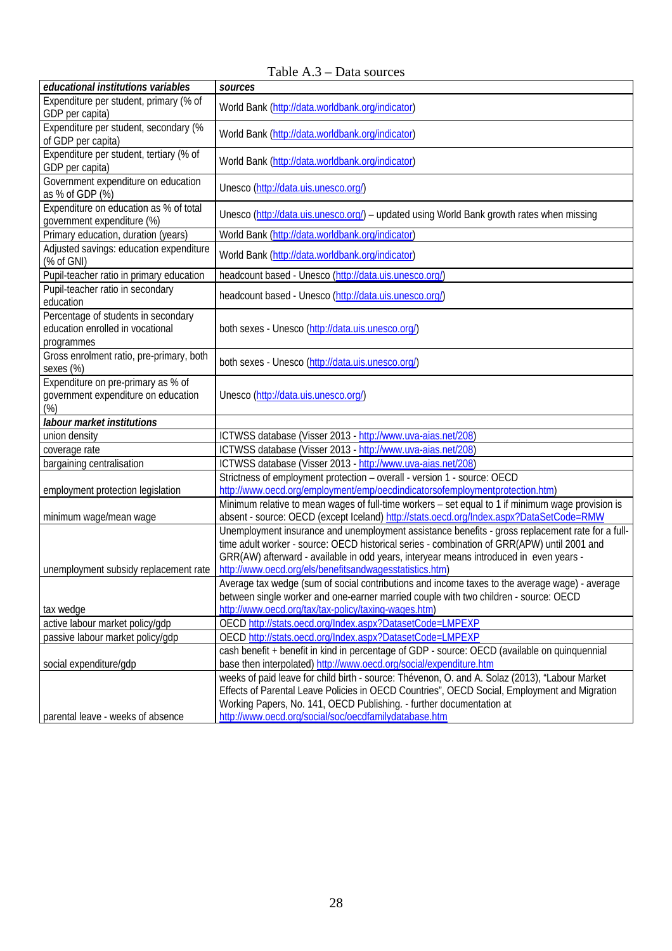| educational institutions variables                                                    | sources                                                                                                                                                                                                                                                                                                                                              |
|---------------------------------------------------------------------------------------|------------------------------------------------------------------------------------------------------------------------------------------------------------------------------------------------------------------------------------------------------------------------------------------------------------------------------------------------------|
| Expenditure per student, primary (% of<br>GDP per capita)                             | World Bank (http://data.worldbank.org/indicator)                                                                                                                                                                                                                                                                                                     |
| Expenditure per student, secondary (%<br>of GDP per capita)                           | World Bank (http://data.worldbank.org/indicator)                                                                                                                                                                                                                                                                                                     |
| Expenditure per student, tertiary (% of<br>GDP per capita)                            | World Bank (http://data.worldbank.org/indicator)                                                                                                                                                                                                                                                                                                     |
| Government expenditure on education<br>as % of GDP (%)                                | Unesco (http://data.uis.unesco.org/)                                                                                                                                                                                                                                                                                                                 |
| Expenditure on education as % of total<br>government expenditure (%)                  | Unesco (http://data.uis.unesco.org/) - updated using World Bank growth rates when missing                                                                                                                                                                                                                                                            |
| Primary education, duration (years)                                                   | World Bank (http://data.worldbank.org/indicator)                                                                                                                                                                                                                                                                                                     |
| Adjusted savings: education expenditure<br>(% of GNI)                                 | World Bank (http://data.worldbank.org/indicator)                                                                                                                                                                                                                                                                                                     |
| Pupil-teacher ratio in primary education                                              | headcount based - Unesco (http://data.uis.unesco.org/)                                                                                                                                                                                                                                                                                               |
| Pupil-teacher ratio in secondary<br>education                                         | headcount based - Unesco (http://data.uis.unesco.org/)                                                                                                                                                                                                                                                                                               |
| Percentage of students in secondary<br>education enrolled in vocational<br>programmes | both sexes - Unesco (http://data.uis.unesco.org/)                                                                                                                                                                                                                                                                                                    |
| Gross enrolment ratio, pre-primary, both<br>sexes (%)                                 | both sexes - Unesco (http://data.uis.unesco.org/)                                                                                                                                                                                                                                                                                                    |
| Expenditure on pre-primary as % of<br>government expenditure on education<br>$(\%)$   | Unesco (http://data.uis.unesco.org/)                                                                                                                                                                                                                                                                                                                 |
| labour market institutions                                                            |                                                                                                                                                                                                                                                                                                                                                      |
| union density                                                                         | ICTWSS database (Visser 2013 - http://www.uva-aias.net/208)                                                                                                                                                                                                                                                                                          |
| coverage rate                                                                         | ICTWSS database (Visser 2013 - http://www.uva-aias.net/208)                                                                                                                                                                                                                                                                                          |
| bargaining centralisation                                                             | ICTWSS database (Visser 2013 - http://www.uva-aias.net/208)                                                                                                                                                                                                                                                                                          |
| employment protection legislation                                                     | Strictness of employment protection - overall - version 1 - source: OECD<br>http://www.oecd.org/employment/emp/oecdindicatorsofemploymentprotection.htm)                                                                                                                                                                                             |
| minimum wage/mean wage                                                                | Minimum relative to mean wages of full-time workers - set equal to 1 if minimum wage provision is<br>absent - source: OECD (except Iceland) http://stats.oecd.org/Index.aspx?DataSetCode=RMW                                                                                                                                                         |
| unemployment subsidy replacement rate                                                 | Unemployment insurance and unemployment assistance benefits - gross replacement rate for a full-<br>time adult worker - source: OECD historical series - combination of GRR(APW) until 2001 and<br>GRR(AW) afterward - available in odd years, interyear means introduced in even years -<br>http://www.oecd.org/els/benefitsandwagesstatistics.htm) |
|                                                                                       | Average tax wedge (sum of social contributions and income taxes to the average wage) - average                                                                                                                                                                                                                                                       |
| tax wedge                                                                             | between single worker and one-earner married couple with two children - source: OECD<br>http://www.oecd.org/tax/tax-policy/taxing-wages.htm)                                                                                                                                                                                                         |
| active labour market policy/gdp                                                       | OECD http://stats.oecd.org/Index.aspx?DatasetCode=LMPEXP                                                                                                                                                                                                                                                                                             |
| passive labour market policy/gdp                                                      | OECD http://stats.oecd.org/Index.aspx?DatasetCode=LMPEXP                                                                                                                                                                                                                                                                                             |
|                                                                                       | cash benefit + benefit in kind in percentage of GDP - source: OECD (available on quinquennial                                                                                                                                                                                                                                                        |
| social expenditure/gdp                                                                | base then interpolated) http://www.oecd.org/social/expenditure.htm                                                                                                                                                                                                                                                                                   |
|                                                                                       | weeks of paid leave for child birth - source: Thévenon, O. and A. Solaz (2013), "Labour Market<br>Effects of Parental Leave Policies in OECD Countries", OECD Social, Employment and Migration<br>Working Papers, No. 141, OECD Publishing. - further documentation at                                                                               |
| parental leave - weeks of absence                                                     | http://www.oecd.org/social/soc/oecdfamilydatabase.htm                                                                                                                                                                                                                                                                                                |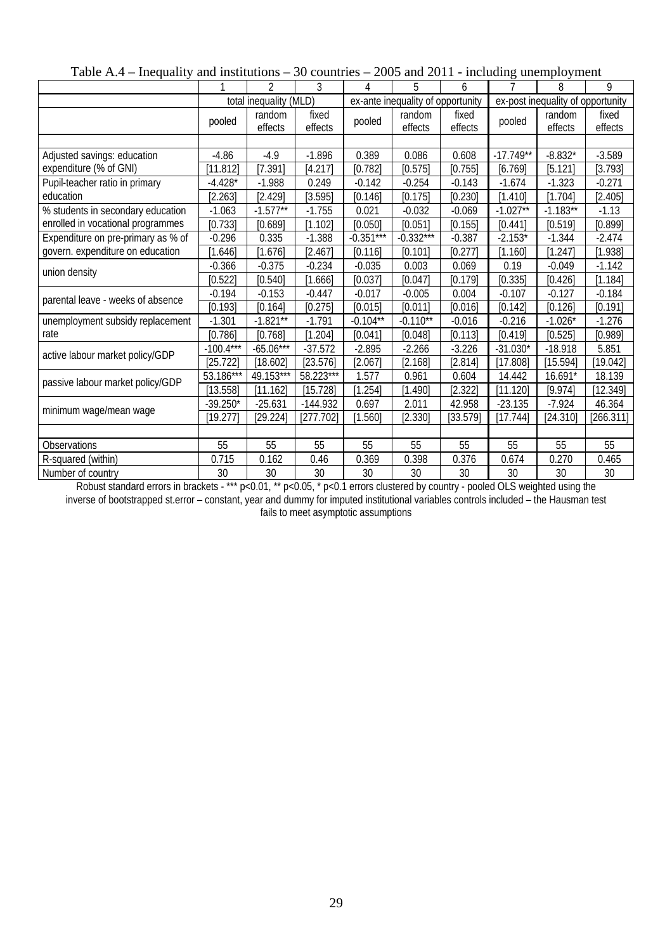| 1 UUIV 1 1. 1<br>mequant, and motitudions |             |                        | ov commento      |             | $2000$ and $2011$                 |                  |             | meraaning anomprograms.           |                  |
|-------------------------------------------|-------------|------------------------|------------------|-------------|-----------------------------------|------------------|-------------|-----------------------------------|------------------|
|                                           |             | $\overline{2}$         | 3                | 4           | 5                                 | 6                | 7           | 8                                 | 9                |
|                                           |             | total inequality (MLD) |                  |             | ex-ante inequality of opportunity |                  |             | ex-post inequality of opportunity |                  |
|                                           | pooled      | random<br>effects      | fixed<br>effects | pooled      | random<br>effects                 | fixed<br>effects | pooled      | random<br>effects                 | fixed<br>effects |
|                                           |             |                        |                  |             |                                   |                  |             |                                   |                  |
| Adjusted savings: education               | $-4.86$     | $-4.9$                 | $-1.896$         | 0.389       | 0.086                             | 0.608            | $-17.749**$ | $-8.832*$                         | $-3.589$         |
| expenditure (% of GNI)                    | [11.812]    | 7.391                  | [4.217]          | [0.782]     | [0.575]                           | [0.755]          | [6.769]     | [5.121]                           | [3.793]          |
| Pupil-teacher ratio in primary            | $-4.428*$   | $-1.988$               | 0.249            | $-0.142$    | $-0.254$                          | $-0.143$         | $-1.674$    | $-1.323$                          | $-0.271$         |
| education                                 | [2.263]     | [2.429]                | [3.595]          | [0.146]     | [0.175]                           | [0.230]          | [1.410]     | [1.704]                           | [2.405]          |
| % students in secondary education         | $-1.063$    | $-1.577**$             | $-1.755$         | 0.021       | $-0.032$                          | $-0.069$         | $-1.027**$  | $-1.183**$                        | $-1.13$          |
| enrolled in vocational programmes         | [0.733]     | [0.689]                | [1.102]          | [0.050]     | [0.051]                           | [0.155]          | [0.441]     | [0.519]                           | [0.899]          |
| Expenditure on pre-primary as % of        | $-0.296$    | 0.335                  | $-1.388$         | $-0.351***$ | $-0.332***$                       | $-0.387$         | $-2.153*$   | $-1.344$                          | $-2.474$         |
| govern. expenditure on education          | [1.646]     | [1.676]                | [2.467]          | [0.116]     | [0.101]                           | [0.277]          | [1.160]     | [1.247]                           | [1.938]          |
|                                           | $-0.366$    | $-0.375$               | $-0.234$         | $-0.035$    | 0.003                             | 0.069            | 0.19        | $-0.049$                          | $-1.142$         |
| union density                             | [0.522]     | [0.540]                | 1.666            | [0.037]     | [0.047]                           | [0.179]          | [0.335]     | [0.426]                           | [1.184]          |
| parental leave - weeks of absence         | $-0.194$    | $-0.153$               | $-0.447$         | $-0.017$    | $-0.005$                          | 0.004            | $-0.107$    | $-0.127$                          | $-0.184$         |
|                                           | [0.193]     | [0.164]                | [0.275]          | [0.015]     | [0.011]                           | [0.016]          | [0.142]     | [0.126]                           | [0.191]          |
| unemployment subsidy replacement          | $-1.301$    | $-1.821**$             | $-1.791$         | $-0.104**$  | $-0.110**$                        | $-0.016$         | $-0.216$    | $-1.026*$                         | $-1.276$         |
| rate                                      | [0.786]     | [0.768]                | [1.204]          | [0.041]     | [0.048]                           | [0.113]          | [0.419]     | [0.525]                           | [0.989]          |
| active labour market policy/GDP           | $-100.4***$ | $-65.06***$            | $-37.572$        | $-2.895$    | $-2.266$                          | $-3.226$         | $-31.030*$  | $-18.918$                         | 5.851            |
|                                           | [25.722]    | [18.602]               | [23.576]         | [2.067]     | [2.168]                           | [2.814]          | [17.808]    | [15.594]                          | [19.042]         |
| passive labour market policy/GDP          | $53.186***$ | 49.153***              | 58.223***        | 1.577       | 0.961                             | 0.604            | 14.442      | 16.691*                           | 18.139           |
|                                           | [13.558]    | [11.162]               | [15.728]         | [1.254]     | [1.490]                           | [2.322]          | [11.120]    | [9.974]                           | [12.349]         |
| minimum wage/mean wage                    | $-39.250*$  | $-25.631$              | $-144.932$       | 0.697       | 2.011                             | 42.958           | $-23.135$   | $-7.924$                          | 46.364           |
|                                           | [19.277]    | [29.224]               | [277.702]        | [1.560]     | [2.330]                           | [33.579]         | [17.744]    | [24.310]                          | [266.311]        |
|                                           |             |                        |                  |             |                                   |                  |             |                                   |                  |
| Observations                              | 55          | 55                     | 55               | 55          | 55                                | 55               | 55          | 55                                | 55               |
| R-squared (within)                        | 0.715       | 0.162                  | 0.46             | 0.369       | 0.398                             | 0.376            | 0.674       | 0.270                             | 0.465            |
| Number of country                         | 30          | 30                     | 30               | 30          | 30                                | 30               | 30          | 30                                | 30               |

Table A.4 – Inequality and institutions – 30 countries – 2005 and 2011 - including unemployment

Robust standard errors in brackets - \*\*\*  $p<0.01$ , \*\*  $p<0.05$ , \*  $p<0.1$  errors clustered by country - pooled OLS weighted using the inverse of bootstrapped st.error – constant, year and dummy for imputed institutional variables controls included – the Hausman test fails to meet asymptotic assumptions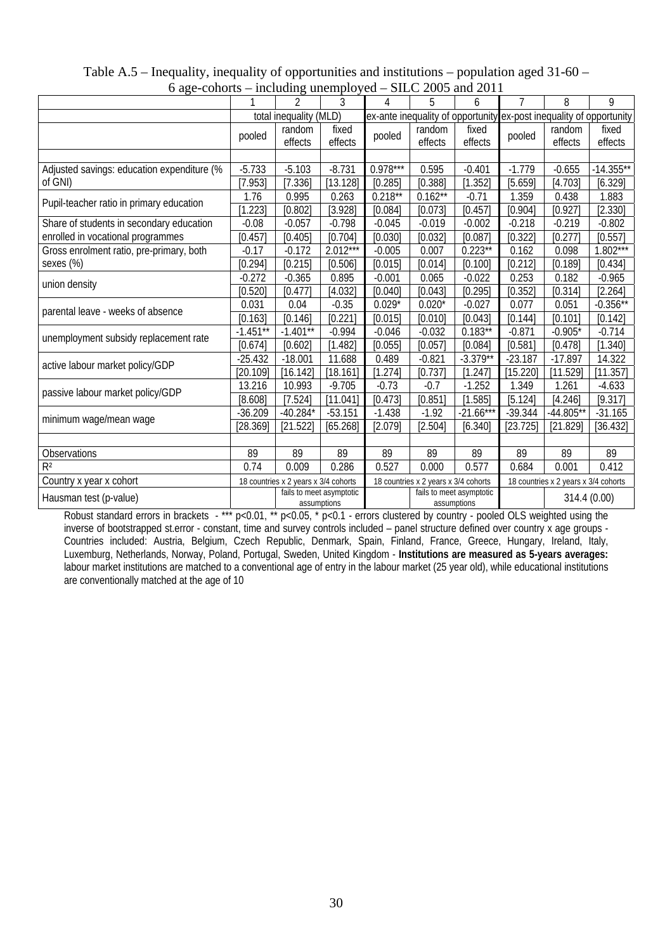| $\sigma$ age-conorts – including unemployed – SILC 2005 and 2011 |            |                                         |                |            |                                      |             |                |                                      |                                                                     |
|------------------------------------------------------------------|------------|-----------------------------------------|----------------|------------|--------------------------------------|-------------|----------------|--------------------------------------|---------------------------------------------------------------------|
|                                                                  |            | $\mathfrak{D}$                          | $\overline{3}$ | Δ          | 5                                    | 6           | $\overline{7}$ | 8                                    | 9                                                                   |
|                                                                  |            | total inequality (MLD)                  |                |            |                                      |             |                |                                      | ex-ante inequality of opportunity ex-post inequality of opportunity |
|                                                                  | pooled     | random                                  | fixed          | pooled     | random                               | fixed       | pooled         | random                               | fixed                                                               |
|                                                                  |            | effects                                 | effects        |            | effects                              | effects     |                | effects                              | effects                                                             |
|                                                                  |            |                                         |                |            |                                      |             |                |                                      |                                                                     |
| Adjusted savings: education expenditure (%                       | $-5.733$   | $-5.103$                                | $-8.731$       | $0.978***$ | 0.595                                | $-0.401$    | $-1.779$       | $-0.655$                             | $-14.355**$                                                         |
| of GNI)                                                          | [7.953]    | [7.336]                                 | [13.128]       | [0.285]    | [0.388]                              | [1.352]     | [5.659]        | [4.703]                              | [6.329]                                                             |
| Pupil-teacher ratio in primary education                         | 1.76       | 0.995                                   | 0.263          | $0.218**$  | $0.162**$                            | $-0.71$     | 1.359          | 0.438                                | 1.883                                                               |
|                                                                  | [1.223]    | [0.802]                                 | [3.928]        | [0.084]    | [0.073]                              | [0.457]     | [0.904]        | [0.927]                              | [2.330]                                                             |
| Share of students in secondary education                         | $-0.08$    | $-0.057$                                | $-0.798$       | $-0.045$   | $-0.019$                             | $-0.002$    | $-0.218$       | $-0.219$                             | $-0.802$                                                            |
| enrolled in vocational programmes                                | [0.457]    | [0.405]                                 | [0.704]        | [0.030]    | [0.032]                              | [0.087]     | [0.322]        | [0.277]                              | [0.557]                                                             |
| Gross enrolment ratio, pre-primary, both                         | $-0.17$    | $-0.172$                                | $2.012***$     | $-0.005$   | 0.007                                | $0.223**$   | 0.162          | 0.098                                | $1.802***$                                                          |
| sexes (%)                                                        | [0.294]    | [0.215]                                 | [0.506]        | [0.015]    | [0.014]                              | [0.100]     | [0.212]        | [0.189]                              | [0.434]                                                             |
| union density                                                    | $-0.272$   | $-0.365$                                | 0.895          | $-0.001$   | 0.065                                | $-0.022$    | 0.253          | 0.182                                | $-0.965$                                                            |
|                                                                  | [0.520]    | [0.477]                                 | [4.032]        | [0.040]    | [0.043]                              | [0.295]     | [0.352]        | [0.314]                              | [2.264]                                                             |
|                                                                  | 0.031      | 0.04                                    | $-0.35$        | $0.029*$   | $0.020*$                             | $-0.027$    | 0.077          | 0.051                                | $-0.356**$                                                          |
| parental leave - weeks of absence                                | [0.163]    | [0.146]                                 | [0.221]        | [0.015]    | [0.010]                              | [0.043]     | [0.144]        | [0.101]                              | [0.142]                                                             |
|                                                                  | $-1.451**$ | $-1.401**$                              | $-0.994$       | $-0.046$   | $-0.032$                             | $0.183**$   | $-0.871$       | $-0.905*$                            | $-0.714$                                                            |
| unemployment subsidy replacement rate                            | [0.674]    | [0.602]                                 | [1.482]        | [0.055]    | [0.057]                              | [0.084]     | [0.581]        | [0.478]                              | [1.340]                                                             |
|                                                                  | $-25.432$  | $-18.001$                               | 11.688         | 0.489      | $-0.821$                             | $-3.379**$  | $-23.187$      | $-17.897$                            | 14.322                                                              |
| active labour market policy/GDP                                  | [20.109]   | [16.142]                                | [18.161]       | [1.274]    | [0.737]                              | [1.247]     | [15.220]       | [11.529]                             | [11.357]                                                            |
|                                                                  | 13.216     | 10.993                                  | $-9.705$       | $-0.73$    | $-0.7$                               | $-1.252$    | 1.349          | 1.261                                | $-4.633$                                                            |
| passive labour market policy/GDP                                 | [8.608]    | [7.524]                                 | [11.041]       | [0.473]    | [0.851]                              | [1.585]     | [5.124]        | [4.246]                              | [9.317]                                                             |
|                                                                  | $-36.209$  | $-40.284*$                              | $-53.151$      | $-1.438$   | $-1.92$                              | $-21.66***$ | $-39.344$      | $-44.805*$                           | $-31.165$                                                           |
| minimum wage/mean wage                                           | [28.369]   | [21.522]                                | [65.268]       | [2.079]    | [2.504]                              | [6.340]     | [23.725]       | [21.829]                             | [36.432]                                                            |
|                                                                  |            |                                         |                |            |                                      |             |                |                                      |                                                                     |
| Observations                                                     | 89         | 89                                      | 89             | 89         | 89                                   | 89          | 89             | 89                                   | 89                                                                  |
| R <sup>2</sup>                                                   | 0.74       | 0.009                                   | 0.286          | 0.527      | 0.000                                | 0.577       | 0.684          | 0.001                                | 0.412                                                               |
| Country x year x cohort                                          |            | 18 countries x 2 years x 3/4 cohorts    |                |            | 18 countries x 2 years x 3/4 cohorts |             |                | 18 countries x 2 years x 3/4 cohorts |                                                                     |
| Hausman test (p-value)                                           |            | fails to meet asymptotic<br>assumptions |                |            | fails to meet asymptotic             | assumptions |                |                                      | 314.4 (0.00)                                                        |

| Table A.5 – Inequality, inequality of opportunities and institutions – population aged 31-60 – |
|------------------------------------------------------------------------------------------------|
| 6 age-cohorts – including unemployed – SILC 2005 and 2011                                      |

Robust standard errors in brackets - \*\*\* p<0.01, \*\* p<0.05, \* p<0.1 - errors clustered by country - pooled OLS weighted using the inverse of bootstrapped st.error - constant, time and survey controls included – panel structure defined over country x age groups - Countries included: Austria, Belgium, Czech Republic, Denmark, Spain, Finland, France, Greece, Hungary, Ireland, Italy, Luxemburg, Netherlands, Norway, Poland, Portugal, Sweden, United Kingdom - **Institutions are measured as 5-years averages:** labour market institutions are matched to a conventional age of entry in the labour market (25 year old), while educational institutions are conventionally matched at the age of 10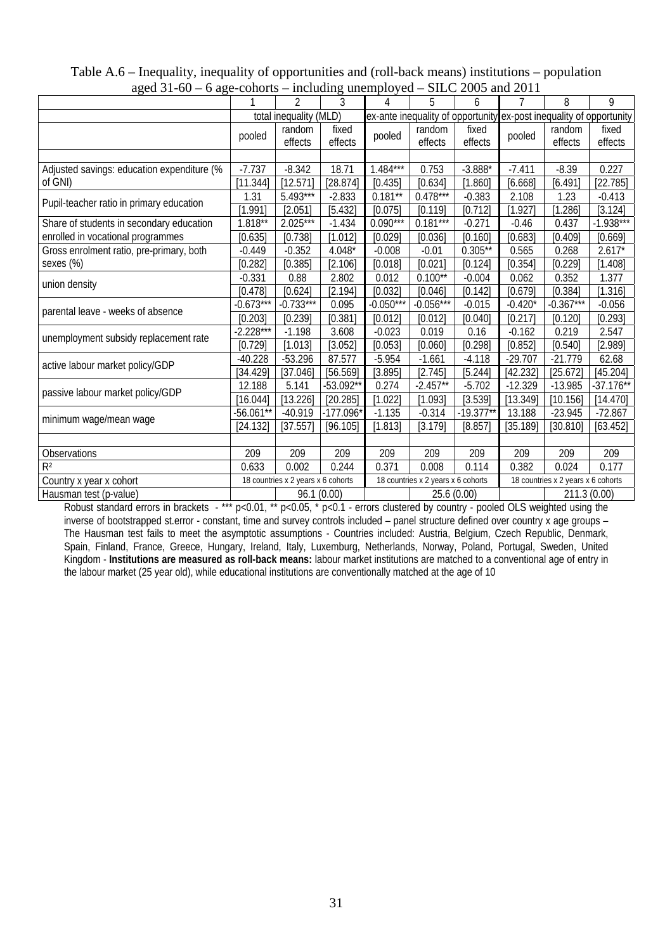| $\alpha$ aged $\beta$ 1-00 – 0 age-conords – including unemployed – $\beta$ ILC 2005 and 2011 |                                    |                |             |                                    |                                                                     |             |                                    |              |             |
|-----------------------------------------------------------------------------------------------|------------------------------------|----------------|-------------|------------------------------------|---------------------------------------------------------------------|-------------|------------------------------------|--------------|-------------|
|                                                                                               |                                    | $\overline{2}$ | 3           | 4                                  | 5                                                                   | 6           | $\overline{7}$                     | 8            | 9           |
|                                                                                               | total inequality (MLD)             |                |             |                                    | ex-ante inequality of opportunity ex-post inequality of opportunity |             |                                    |              |             |
|                                                                                               | pooled                             | random         | fixed       | pooled                             | random                                                              | fixed       | pooled                             | random       | fixed       |
|                                                                                               |                                    | effects        | effects     |                                    | effects                                                             | effects     |                                    | effects      | effects     |
|                                                                                               |                                    |                |             |                                    |                                                                     |             |                                    |              |             |
| Adjusted savings: education expenditure (%<br>of GNI)                                         | $-7.737$                           | $-8.342$       | 18.71       | $1.484***$                         | 0.753                                                               | $-3.888*$   | $-7.411$                           | $-8.39$      | 0.227       |
|                                                                                               | [11.344]                           | [12.571]       | [28.874]    | [0.435]                            | [0.634]                                                             | [1.860]     | [6.668]                            | [6.491]      | [22.785]    |
| Pupil-teacher ratio in primary education                                                      | 1.31                               | $5.493***$     | $-2.833$    | $0.181***$                         | $0.478***$                                                          | $-0.383$    | 2.108                              | 1.23         | $-0.413$    |
|                                                                                               | [1.991]                            | [2.051]        | [5.432]     | [0.075]                            | [0.119]                                                             | [0.712]     | [1.927]                            | [1.286]      | [3.124]     |
| Share of students in secondary education                                                      | $1.818**$                          | $2.025***$     | $-1.434$    | $0.090***$                         | $0.181***$                                                          | $-0.271$    | $-0.46$                            | 0.437        | $-1.938***$ |
| enrolled in vocational programmes                                                             | [0.635]                            | [0.738]        | [1.012]     | [0.029]                            | [0.036]                                                             | [0.160]     | [0.683]                            | [0.409]      | [0.669]     |
| Gross enrolment ratio, pre-primary, both                                                      | $-0.449$                           | $-0.352$       | $4.048*$    | $-0.008$                           | $-0.01$                                                             | $0.305**$   | 0.565                              | 0.268        | $2.617*$    |
| sexes (%)                                                                                     | [0.282]                            | [0.385]        | [2.106]     | [0.018]                            | [0.021]                                                             | [0.124]     | [0.354]                            | [0.229]      | [1.408]     |
| union density                                                                                 | $-0.331$                           | 0.88           | 2.802       | 0.012                              | $0.100**$                                                           | $-0.004$    | 0.062                              | 0.352        | 1.377       |
|                                                                                               | [0.478]                            | [0.624]        | [2.194]     | [0.032]                            | [0.046]                                                             | [0.142]     | [0.679]                            | [0.384]      | [1.316]     |
| parental leave - weeks of absence                                                             | $-0.673***$                        | $-0.733***$    | 0.095       | $-0.050***$                        | $-0.056***$                                                         | $-0.015$    | $-0.420*$                          | $-0.367***$  | $-0.056$    |
|                                                                                               | [0.203]                            | [0.239]        | [0.381]     | [0.012]                            | [0.012]                                                             | [0.040]     | [0.217]                            | [0.120]      | [0.293]     |
| unemployment subsidy replacement rate                                                         | $-2.228***$                        | $-1.198$       | 3.608       | $-0.023$                           | 0.019                                                               | 0.16        | $-0.162$                           | 0.219        | 2.547       |
|                                                                                               | [0.729]                            | [1.013]        | [3.052]     | [0.053]                            | [0.060]                                                             | [0.298]     | [0.852]                            | [0.540]      | [2.989]     |
| active labour market policy/GDP                                                               | $-40.228$                          | $-53.296$      | 87.577      | $-5.954$                           | $-1.661$                                                            | $-4.118$    | $-29.707$                          | $-21.779$    | 62.68       |
|                                                                                               | [34.429]                           | [37.046]       | [56.569]    | [3.895]                            | [2.745]                                                             | [5.244]     | [42.232]                           | [25.672]     | [45.204]    |
| passive labour market policy/GDP                                                              | 12.188                             | 5.141          | $-53.092**$ | 0.274                              | $-2.457**$                                                          | $-5.702$    | $-12.329$                          | $-13.985$    | $-37.176**$ |
|                                                                                               | [16.044]                           | [13.226]       | [20.285]    | [1.022]                            | [1.093]                                                             | [3.539]     | [13.349]                           | [10.156]     | [14.470]    |
| minimum wage/mean wage                                                                        | $-56.061**$                        | $-40.919$      | $-177.096*$ | $-1.135$                           | $-0.314$                                                            | $-19.377**$ | 13.188                             | $-23.945$    | $-72.867$   |
|                                                                                               | [24.132]                           | [37.557]       | [96.105]    | [1.813]                            | [3.179]                                                             | [8.857]     | [35.189]                           | [30.810]     | [63.452]    |
|                                                                                               |                                    |                |             |                                    |                                                                     |             |                                    |              |             |
| Observations                                                                                  | 209                                | 209            | 209         | 209                                | 209                                                                 | 209         | 209                                | 209          | 209         |
| R <sup>2</sup>                                                                                | 0.633                              | 0.002          | 0.244       | 0.371                              | 0.008                                                               | 0.114       | 0.382                              | 0.024        | 0.177       |
| Country x year x cohort                                                                       | 18 countries x 2 years x 6 cohorts |                |             | 18 countries x 2 years x 6 cohorts |                                                                     |             | 18 countries x 2 years x 6 cohorts |              |             |
| Hausman test (p-value)                                                                        |                                    | 96.1(0.00)     |             |                                    | 25.6 (0.00)                                                         |             |                                    | 211.3 (0.00) |             |

Table A.6 – Inequality, inequality of opportunities and (roll-back means) institutions – population aged  $31-60 - 6$  age-cohorts – including unemployed – SILC 2005 and 2011

Robust standard errors in brackets - \*\*\* p<0.01, \*\* p<0.05, \* p<0.1 - errors clustered by country - pooled OLS weighted using the inverse of bootstrapped st.error - constant, time and survey controls included – panel structure defined over country x age groups – The Hausman test fails to meet the asymptotic assumptions - Countries included: Austria, Belgium, Czech Republic, Denmark, Spain, Finland, France, Greece, Hungary, Ireland, Italy, Luxemburg, Netherlands, Norway, Poland, Portugal, Sweden, United Kingdom - **Institutions are measured as roll-back means:** labour market institutions are matched to a conventional age of entry in the labour market (25 year old), while educational institutions are conventionally matched at the age of 10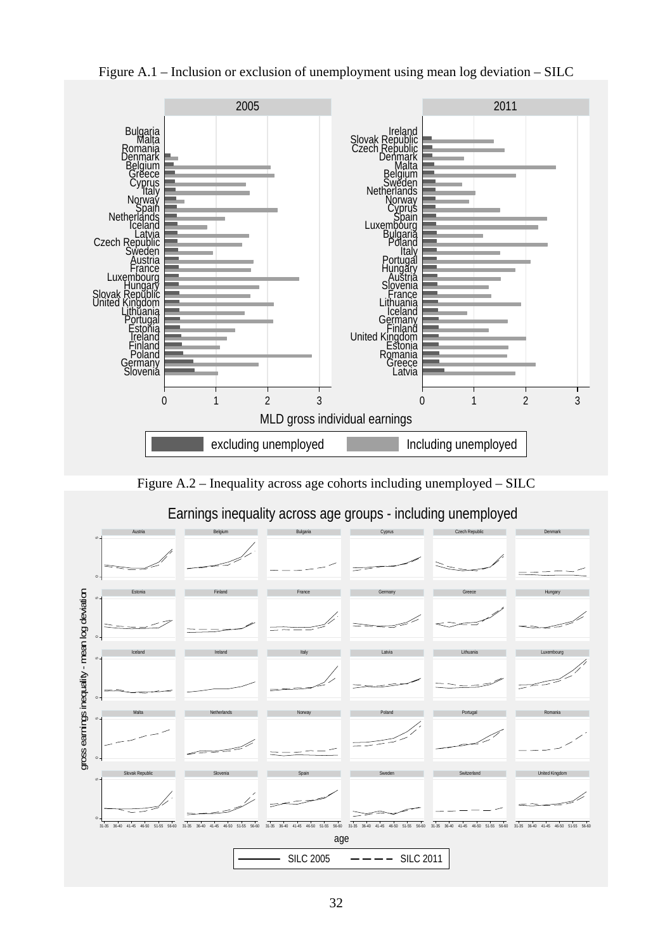

Figure A.1 – Inclusion or exclusion of unemployment using mean log deviation – SILC

Figure A.2 – Inequality across age cohorts including unemployed – SILC

# Earnings inequality across age groups - including unemployed

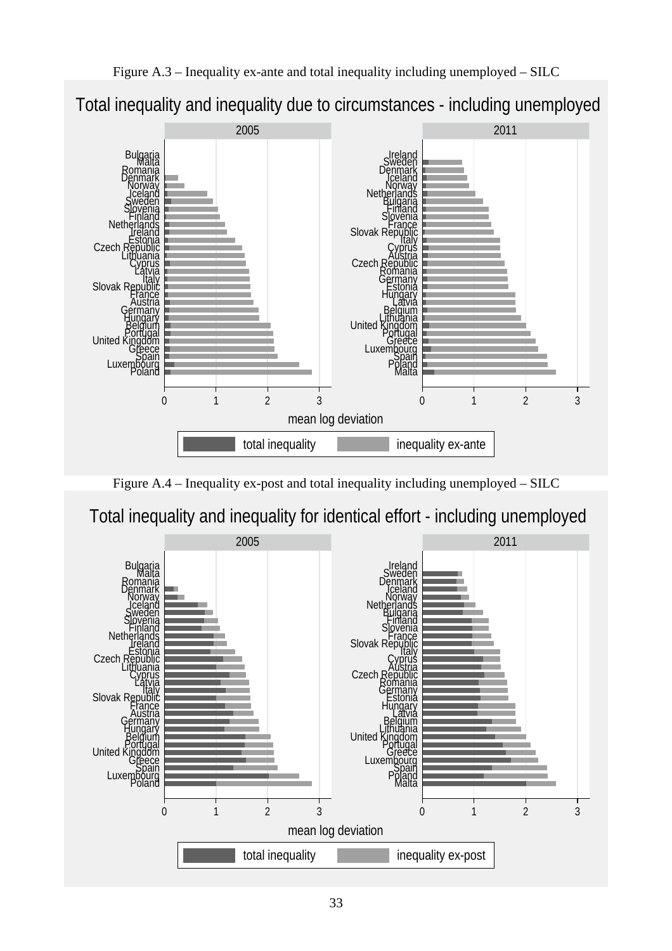

Figure A.3 – Inequality ex-ante and total inequality including unemployed – SILC

Total inequality and inequality due to circumstances - including unemployed

Figure A.4 – Inequality ex-post and total inequality including unemployed – SILC

Total inequality and inequality for identical effort - including unemployed